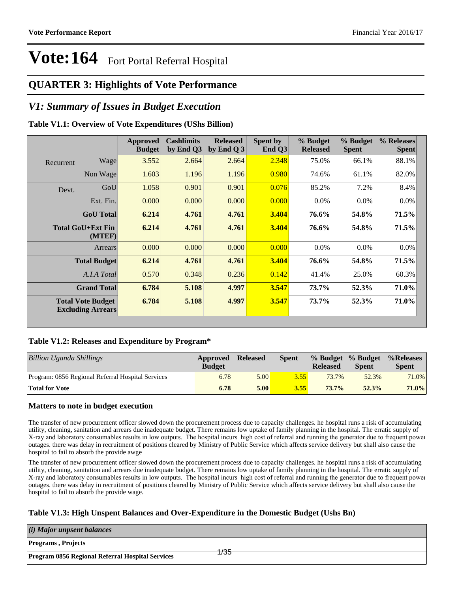### **QUARTER 3: Highlights of Vote Performance**

### *V1: Summary of Issues in Budget Execution*

#### **Table V1.1: Overview of Vote Expenditures (UShs Billion)**

|           |                                                      | Approved<br><b>Budget</b> | <b>Cashlimits</b><br>by End Q3 | <b>Released</b><br>by End Q $3$ | <b>Spent by</b><br>End Q3 | % Budget<br><b>Released</b> | % Budget<br><b>Spent</b> | % Releases<br><b>Spent</b> |
|-----------|------------------------------------------------------|---------------------------|--------------------------------|---------------------------------|---------------------------|-----------------------------|--------------------------|----------------------------|
| Recurrent | Wage                                                 | 3.552                     | 2.664                          | 2.664                           | 2.348                     | 75.0%                       | 66.1%                    | 88.1%                      |
|           | Non Wage                                             | 1.603                     | 1.196                          | 1.196                           | 0.980                     | 74.6%                       | 61.1%                    | 82.0%                      |
| Devt.     | GoU                                                  | 1.058                     | 0.901                          | 0.901                           | 0.076                     | 85.2%                       | 7.2%                     | 8.4%                       |
|           | Ext. Fin.                                            | 0.000                     | 0.000                          | 0.000                           | 0.000                     | $0.0\%$                     | $0.0\%$                  | $0.0\%$                    |
|           | <b>GoU</b> Total                                     | 6.214                     | 4.761                          | 4.761                           | 3.404                     | 76.6%                       | 54.8%                    | 71.5%                      |
|           | Total GoU+Ext Fin<br>(MTEF)                          | 6.214                     | 4.761                          | 4.761                           | 3.404                     | 76.6%                       | 54.8%                    | 71.5%                      |
|           | Arrears                                              | 0.000                     | 0.000                          | 0.000                           | 0.000                     | $0.0\%$                     | $0.0\%$                  | 0.0%                       |
|           | <b>Total Budget</b>                                  | 6.214                     | 4.761                          | 4.761                           | 3.404                     | 76.6%                       | 54.8%                    | 71.5%                      |
|           | A.I.A Total                                          | 0.570                     | 0.348                          | 0.236                           | 0.142                     | 41.4%                       | 25.0%                    | 60.3%                      |
|           | <b>Grand Total</b>                                   | 6.784                     | 5.108                          | 4.997                           | 3.547                     | 73.7%                       | 52.3%                    | 71.0%                      |
|           | <b>Total Vote Budget</b><br><b>Excluding Arrears</b> | 6.784                     | 5.108                          | 4.997                           | 3.547                     | 73.7%                       | 52.3%                    | 71.0%                      |

#### **Table V1.2: Releases and Expenditure by Program\***

| Billion Uganda Shillings                          | Approved<br><b>Budget</b> | <b>Released</b> | <b>Spent</b> | % Budget % Budget<br><b>Released</b> | <b>Spent</b> | %Releases<br><b>Spent</b> |
|---------------------------------------------------|---------------------------|-----------------|--------------|--------------------------------------|--------------|---------------------------|
| Program: 0856 Regional Referral Hospital Services | 6.78                      | 5.00            | 3.55         | 73.7%                                | 52.3%        | 71.0%                     |
| <b>Total for Vote</b>                             | 6.78                      | 5.00            | 3.55         | $73.7\%$                             | 52.3%        | 71.0%                     |

#### **Matters to note in budget execution**

The transfer of new procurement officer slowed down the procurement process due to capacity challenges. he hospital runs a risk of accumulating utility, cleaning, sanitation and arrears due inadequate budget. There remains low uptake of family planning in the hospital. The erratic supply of X-ray and laboratory consumables results in low outputs. The hospital incurs high cost of referral and running the generator due to frequent power outages. there was delay in recruitment of positions cleared by Ministry of Public Service which affects service delivery but shall also cause the hospital to fail to absorb the provide awge

The transfer of new procurement officer slowed down the procurement process due to capacity challenges. he hospital runs a risk of accumulating utility, cleaning, sanitation and arrears due inadequate budget. There remains low uptake of family planning in the hospital. The erratic supply of X-ray and laboratory consumables results in low outputs. The hospital incurs high cost of referral and running the generator due to frequent power outages. there was delay in recruitment of positions cleared by Ministry of Public Service which affects service delivery but shall also cause the hospital to fail to absorb the provide wage.

#### **Table V1.3: High Unspent Balances and Over-Expenditure in the Domestic Budget (Ushs Bn)**

| $(i)$ Major unpsent balances                                   |  |
|----------------------------------------------------------------|--|
| <b>Programs, Projects</b>                                      |  |
| ⊬35<br><b>Program 0856 Regional Referral Hospital Services</b> |  |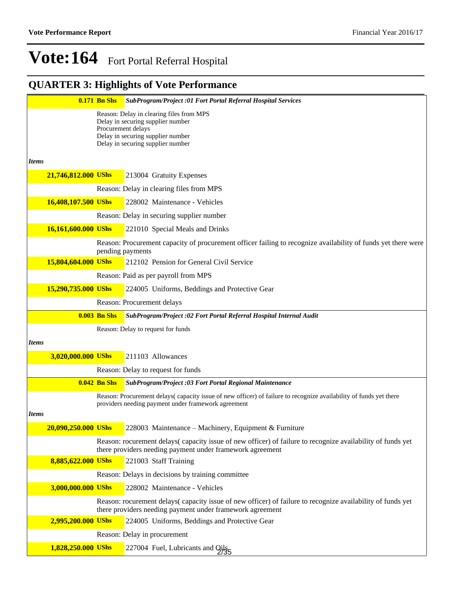### **QUARTER 3: Highlights of Vote Performance**

|                     | <b>0.171 Bn Shs</b> | <b>SubProgram/Project :01 Fort Portal Referral Hospital Services</b>                                                                                                    |
|---------------------|---------------------|-------------------------------------------------------------------------------------------------------------------------------------------------------------------------|
|                     |                     | Reason: Delay in clearing files from MPS                                                                                                                                |
|                     |                     | Delay in securing supplier number<br>Procurement delays                                                                                                                 |
|                     |                     | Delay in securing supplier number<br>Delay in securing supplier number                                                                                                  |
|                     |                     |                                                                                                                                                                         |
| <i>Items</i>        |                     |                                                                                                                                                                         |
| 21,746,812.000 UShs |                     | 213004 Gratuity Expenses                                                                                                                                                |
|                     |                     | Reason: Delay in clearing files from MPS                                                                                                                                |
| 16,408,107.500 UShs |                     | 228002 Maintenance - Vehicles                                                                                                                                           |
|                     |                     | Reason: Delay in securing supplier number                                                                                                                               |
| 16,161,600.000 UShs |                     | 221010 Special Meals and Drinks                                                                                                                                         |
|                     |                     | Reason: Procurement capacity of procurement officer failing to recognize availability of funds yet there were<br>pending payments                                       |
| 15,804,604.000 UShs |                     | 212102 Pension for General Civil Service                                                                                                                                |
|                     |                     | Reason: Paid as per payroll from MPS                                                                                                                                    |
| 15,290,735.000 UShs |                     | 224005 Uniforms, Beddings and Protective Gear                                                                                                                           |
|                     |                     | Reason: Procurement delays                                                                                                                                              |
|                     | <b>0.003 Bn Shs</b> | SubProgram/Project :02 Fort Portal Referral Hospital Internal Audit                                                                                                     |
|                     |                     | Reason: Delay to request for funds                                                                                                                                      |
| <b>Items</b>        |                     |                                                                                                                                                                         |
| 3,020,000.000 UShs  |                     | 211103 Allowances                                                                                                                                                       |
|                     |                     | Reason: Delay to request for funds                                                                                                                                      |
|                     | <b>0.042 Bn Shs</b> | SubProgram/Project :03 Fort Portal Regional Maintenance                                                                                                                 |
|                     |                     | Reason: Procurement delays(capacity issue of new officer) of failure to recognize availability of funds yet there                                                       |
| <b>Items</b>        |                     | providers needing payment under framework agreement                                                                                                                     |
| 20,090,250.000 UShs |                     | 228003 Maintenance – Machinery, Equipment & Furniture                                                                                                                   |
|                     |                     | Reason: rocurement delays(capacity issue of new officer) of failure to recognize availability of funds yet                                                              |
|                     |                     | there providers needing payment under framework agreement                                                                                                               |
| 8,885,622.000 UShs  |                     | 221003 Staff Training                                                                                                                                                   |
|                     |                     | Reason: Delays in decisions by training committee                                                                                                                       |
| 3,000,000.000 UShs  |                     | 228002 Maintenance - Vehicles                                                                                                                                           |
|                     |                     | Reason: rocurement delays(capacity issue of new officer) of failure to recognize availability of funds yet<br>there providers needing payment under framework agreement |
| 2,995,200.000 UShs  |                     | 224005 Uniforms, Beddings and Protective Gear                                                                                                                           |
|                     |                     | Reason: Delay in procurement                                                                                                                                            |
| 1,828,250.000 UShs  |                     | 227004 Fuel, Lubricants and Qils <sub>5</sub>                                                                                                                           |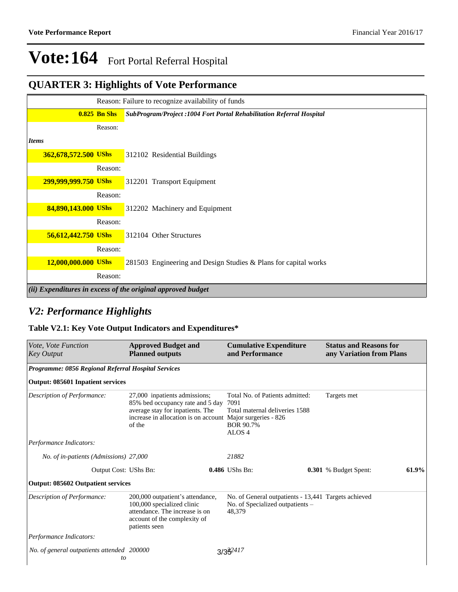### **QUARTER 3: Highlights of Vote Performance**

|                      |                | Reason: Failure to recognize availability of funds                    |
|----------------------|----------------|-----------------------------------------------------------------------|
|                      | $0.825$ Bn Shs | SubProgram/Project: 1004 Fort Portal Rehabilitation Referral Hospital |
|                      | Reason:        |                                                                       |
| <b>Items</b>         |                |                                                                       |
| 362,678,572.500 UShs |                | 312102 Residential Buildings                                          |
|                      | Reason:        |                                                                       |
| 299,999,999.750 UShs |                | 312201 Transport Equipment                                            |
|                      | Reason:        |                                                                       |
| 84,890,143.000 UShs  |                | 312202 Machinery and Equipment                                        |
|                      | Reason:        |                                                                       |
| 56,612,442.750 UShs  |                | 312104 Other Structures                                               |
|                      | Reason:        |                                                                       |
| 12,000,000.000 UShs  |                | 281503 Engineering and Design Studies & Plans for capital works       |
|                      | Reason:        |                                                                       |
|                      |                | (ii) Expenditures in excess of the original approved budget           |

### *V2: Performance Highlights*

### **Table V2.1: Key Vote Output Indicators and Expenditures\***

| <i>Vote, Vote Function</i><br><b>Key Output</b>     | <b>Approved Budget and</b><br><b>Planned outputs</b>                                                                                                                          | <b>Cumulative Expenditure</b><br>and Performance                                                            | <b>Status and Reasons for</b><br>any Variation from Plans |
|-----------------------------------------------------|-------------------------------------------------------------------------------------------------------------------------------------------------------------------------------|-------------------------------------------------------------------------------------------------------------|-----------------------------------------------------------|
| Programme: 0856 Regional Referral Hospital Services |                                                                                                                                                                               |                                                                                                             |                                                           |
| Output: 085601 Inpatient services                   |                                                                                                                                                                               |                                                                                                             |                                                           |
| Description of Performance:                         | 27,000 inpatients admissions;<br>85% bed occupancy rate and 5 day<br>average stay for inpatients. The<br>increase in allocation is on account Major surgeries - 826<br>of the | Total No. of Patients admitted:<br>7091<br>Total maternal deliveries 1588<br>BOR 90.7%<br>ALOS <sub>4</sub> | Targets met                                               |
| Performance Indicators:                             |                                                                                                                                                                               |                                                                                                             |                                                           |
| No. of in-patients (Admissions) 27,000              |                                                                                                                                                                               | 21882                                                                                                       |                                                           |
| Output Cost: UShs Bn:                               |                                                                                                                                                                               | 0.486 UShs Bn:                                                                                              | 61.9%<br>0.301 % Budget Spent:                            |
| <b>Output: 085602 Outpatient services</b>           |                                                                                                                                                                               |                                                                                                             |                                                           |
| Description of Performance:                         | 200,000 outpatient's attendance,<br>100,000 specialized clinic<br>attendance. The increase is on<br>account of the complexity of<br>patients seen                             | No. of General outpatients - 13,441 Targets achieved<br>No. of Specialized outpatients –<br>48,379          |                                                           |
| Performance Indicators:                             |                                                                                                                                                                               |                                                                                                             |                                                           |
| No. of general outpatients attended 200000<br>to    |                                                                                                                                                                               | $3/35^{2417}$                                                                                               |                                                           |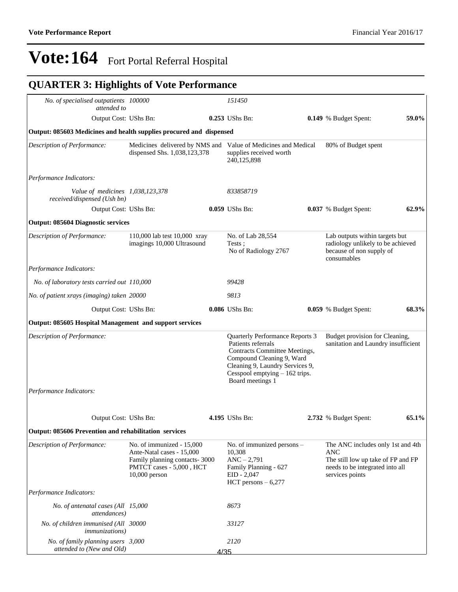## **QUARTER 3: Highlights of Vote Performance**

| No. of specialised outpatients 100000<br>attended to                |                                                                                                                                         |      | 151450                                                                                                                                                                                                       |                                                                                                                                      |       |
|---------------------------------------------------------------------|-----------------------------------------------------------------------------------------------------------------------------------------|------|--------------------------------------------------------------------------------------------------------------------------------------------------------------------------------------------------------------|--------------------------------------------------------------------------------------------------------------------------------------|-------|
| Output Cost: UShs Bn:                                               |                                                                                                                                         |      | 0.253 UShs Bn:                                                                                                                                                                                               | <b>0.149</b> % Budget Spent:                                                                                                         | 59.0% |
| Output: 085603 Medicines and health supplies procured and dispensed |                                                                                                                                         |      |                                                                                                                                                                                                              |                                                                                                                                      |       |
| Description of Performance:                                         | Medicines delivered by NMS and<br>dispensed Shs. 1,038,123,378                                                                          |      | Value of Medicines and Medical<br>supplies received worth<br>240,125,898                                                                                                                                     | 80% of Budget spent                                                                                                                  |       |
| Performance Indicators:                                             |                                                                                                                                         |      |                                                                                                                                                                                                              |                                                                                                                                      |       |
| Value of medicines 1,038,123,378<br>received/dispensed (Ush bn)     |                                                                                                                                         |      | 833858719                                                                                                                                                                                                    |                                                                                                                                      |       |
| Output Cost: UShs Bn:                                               |                                                                                                                                         |      | 0.059 UShs Bn:                                                                                                                                                                                               | 0.037 % Budget Spent:                                                                                                                | 62.9% |
| <b>Output: 085604 Diagnostic services</b>                           |                                                                                                                                         |      |                                                                                                                                                                                                              |                                                                                                                                      |       |
| Description of Performance:                                         | 110,000 lab test 10,000 xray<br>imagings 10,000 Ultrasound                                                                              |      | No. of Lab 28,554<br>Tests :<br>No of Radiology 2767                                                                                                                                                         | Lab outputs within targets but<br>radiology unlikely to be achieved<br>because of non supply of<br>consumables                       |       |
| Performance Indicators:                                             |                                                                                                                                         |      |                                                                                                                                                                                                              |                                                                                                                                      |       |
| No. of laboratory tests carried out 110,000                         |                                                                                                                                         |      | 99428                                                                                                                                                                                                        |                                                                                                                                      |       |
| No. of patient xrays (imaging) taken 20000                          |                                                                                                                                         |      | 9813                                                                                                                                                                                                         |                                                                                                                                      |       |
| Output Cost: UShs Bn:                                               |                                                                                                                                         |      | 0.086 UShs Bn:                                                                                                                                                                                               | 0.059 % Budget Spent:                                                                                                                | 68.3% |
| Output: 085605 Hospital Management and support services             |                                                                                                                                         |      |                                                                                                                                                                                                              |                                                                                                                                      |       |
| Description of Performance:                                         |                                                                                                                                         |      | Quarterly Performance Reports 3<br>Patients referrals<br>Contracts Committee Meetings,<br>Compound Cleaning 9, Ward<br>Cleaning 9, Laundry Services 9,<br>Cesspool emptying - 162 trips.<br>Board meetings 1 | Budget provision for Cleaning,<br>sanitation and Laundry insufficient                                                                |       |
| Performance Indicators:                                             |                                                                                                                                         |      |                                                                                                                                                                                                              |                                                                                                                                      |       |
|                                                                     |                                                                                                                                         |      |                                                                                                                                                                                                              |                                                                                                                                      |       |
| Output Cost: UShs Bn:                                               |                                                                                                                                         |      | 4.195 UShs Bn:                                                                                                                                                                                               | 2.732 % Budget Spent:                                                                                                                | 65.1% |
| Output: 085606 Prevention and rehabilitation services               |                                                                                                                                         |      |                                                                                                                                                                                                              |                                                                                                                                      |       |
| Description of Performance:                                         | No. of immunized - 15,000<br>Ante-Natal cases - 15,000<br>Family planning contacts- 3000<br>PMTCT cases - 5,000, HCT<br>$10,000$ person |      | No. of immunized persons -<br>10,308<br>$ANC - 2,791$<br>Family Planning - 627<br>$EID - 2,047$<br>HCT persons $-6,277$                                                                                      | The ANC includes only 1st and 4th<br>ANC<br>The still low up take of FP and FP<br>needs to be integrated into all<br>services points |       |
| Performance Indicators:                                             |                                                                                                                                         |      |                                                                                                                                                                                                              |                                                                                                                                      |       |
| No. of antenatal cases (All 15,000<br>attendances)                  |                                                                                                                                         |      | 8673                                                                                                                                                                                                         |                                                                                                                                      |       |
| No. of children immunised (All 30000<br><i>immunizations</i> )      |                                                                                                                                         |      | 33127                                                                                                                                                                                                        |                                                                                                                                      |       |
| No. of family planning users 3,000<br>attended to (New and Old)     |                                                                                                                                         | 4/35 | 2120                                                                                                                                                                                                         |                                                                                                                                      |       |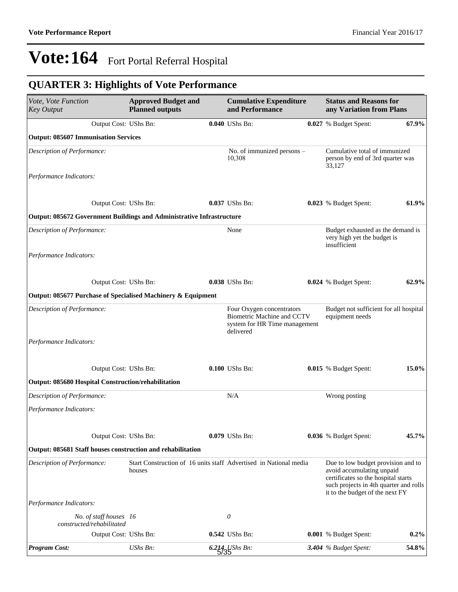## **QUARTER 3: Highlights of Vote Performance**

| Vote, Vote Function<br><b>Key Output</b>                              | <b>Approved Budget and</b><br><b>Planned outputs</b> | <b>Cumulative Expenditure</b><br>and Performance                                                             | <b>Status and Reasons for</b><br>any Variation from Plans                                                                                                                           |         |  |
|-----------------------------------------------------------------------|------------------------------------------------------|--------------------------------------------------------------------------------------------------------------|-------------------------------------------------------------------------------------------------------------------------------------------------------------------------------------|---------|--|
| Output Cost: UShs Bn:                                                 |                                                      | 0.040 UShs Bn:                                                                                               | 0.027 % Budget Spent:                                                                                                                                                               | 67.9%   |  |
| <b>Output: 085607 Immunisation Services</b>                           |                                                      |                                                                                                              |                                                                                                                                                                                     |         |  |
| Description of Performance:                                           |                                                      | No. of immunized persons -<br>10,308                                                                         | Cumulative total of immunized<br>person by end of 3rd quarter was<br>33,127                                                                                                         |         |  |
| Performance Indicators:                                               |                                                      |                                                                                                              |                                                                                                                                                                                     |         |  |
| Output Cost: UShs Bn:                                                 |                                                      | 0.037 UShs Bn:                                                                                               | 0.023 % Budget Spent:                                                                                                                                                               | 61.9%   |  |
| Output: 085672 Government Buildings and Administrative Infrastructure |                                                      |                                                                                                              |                                                                                                                                                                                     |         |  |
| Description of Performance:                                           |                                                      | None                                                                                                         | Budget exhausted as the demand is<br>very high yet the budget is<br>insufficient                                                                                                    |         |  |
| Performance Indicators:                                               |                                                      |                                                                                                              |                                                                                                                                                                                     |         |  |
| Output Cost: UShs Bn:                                                 |                                                      | 0.038 UShs Bn:                                                                                               | 0.024 % Budget Spent:                                                                                                                                                               | 62.9%   |  |
| Output: 085677 Purchase of Specialised Machinery & Equipment          |                                                      |                                                                                                              |                                                                                                                                                                                     |         |  |
| Description of Performance:                                           |                                                      | Four Oxygen concentrators<br><b>Biometric Machine and CCTV</b><br>system for HR Time management<br>delivered | Budget not sufficient for all hospital<br>equipment needs                                                                                                                           |         |  |
| Performance Indicators:                                               |                                                      |                                                                                                              |                                                                                                                                                                                     |         |  |
| Output Cost: UShs Bn:                                                 |                                                      | 0.100 UShs Bn:                                                                                               | 0.015 % Budget Spent:                                                                                                                                                               | 15.0%   |  |
| Output: 085680 Hospital Construction/rehabilitation                   |                                                      |                                                                                                              |                                                                                                                                                                                     |         |  |
| Description of Performance:                                           |                                                      | N/A                                                                                                          | Wrong posting                                                                                                                                                                       |         |  |
| Performance Indicators:                                               |                                                      |                                                                                                              |                                                                                                                                                                                     |         |  |
| Output Cost: UShs Bn:                                                 |                                                      | 0.079 UShs Bn:                                                                                               | 0.036 % Budget Spent:                                                                                                                                                               | 45.7%   |  |
| Output: 085681 Staff houses construction and rehabilitation           |                                                      |                                                                                                              |                                                                                                                                                                                     |         |  |
| Description of Performance:                                           | houses                                               | Start Construction of 16 units staff Advertised in National media                                            | Due to low budget provision and to<br>avoid accumulating unpaid<br>certificates so the hospital starts<br>such projects in 4th quarter and rolls<br>it to the budget of the next FY |         |  |
| Performance Indicators:                                               |                                                      |                                                                                                              |                                                                                                                                                                                     |         |  |
| No. of staff houses 16<br>constructed/rehabilitated                   |                                                      | 0                                                                                                            |                                                                                                                                                                                     |         |  |
| Output Cost: UShs Bn:                                                 |                                                      | 0.542 UShs Bn:                                                                                               | 0.001 % Budget Spent:                                                                                                                                                               | $0.2\%$ |  |
| <b>Program Cost:</b>                                                  | UShs Bn:                                             | $6.214$ UShs Bn:                                                                                             | 3.404 % Budget Spent:                                                                                                                                                               | 54.8%   |  |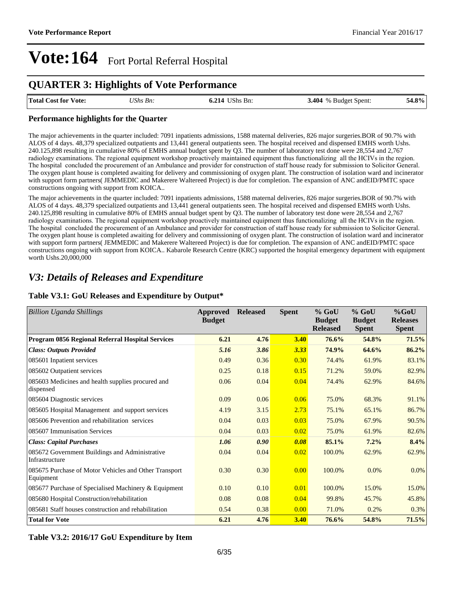### **QUARTER 3: Highlights of Vote Performance**

| <b>Total Cost for Vote:</b> | UShs Bn: | <b>6.214 UShs Bn:</b> | <b>3.404</b> % Budget Spent: | 54.8% |
|-----------------------------|----------|-----------------------|------------------------------|-------|
|                             |          |                       |                              |       |

#### **Performance highlights for the Quarter**

The major achievements in the quarter included: 7091 inpatients admissions, 1588 maternal deliveries, 826 major surgeries.BOR of 90.7% with ALOS of 4 days. 48,379 specialized outpatients and 13,441 general outpatients seen. The hospital received and dispensed EMHS worth Ushs. 240.125,898 resulting in cumulative 80% of EMHS annual budget spent by Q3. The number of laboratory test done were 28,554 and 2,767 radiology examinations. The regional equipment workshop proactively maintained equipment thus functionalizing all the HCIVs in the region. The hospital concluded the procurement of an Ambulance and provider for construction of staff house ready for submission to Solicitor General. The oxygen plant house is completed awaiting for delivery and commissioning of oxygen plant. The construction of isolation ward and incinerator with support form partners( JEMMEDIC and Makerere Waltereed Project) is due for completion. The expansion of ANC andEID/PMTC space constructions ongoing with support from KOICA..

The major achievements in the quarter included: 7091 inpatients admissions, 1588 maternal deliveries, 826 major surgeries.BOR of 90.7% with ALOS of 4 days. 48,379 specialized outpatients and 13,441 general outpatients seen. The hospital received and dispensed EMHS worth Ushs. 240.125,898 resulting in cumulative 80% of EMHS annual budget spent by Q3. The number of laboratory test done were 28,554 and 2,767 radiology examinations. The regional equipment workshop proactively maintained equipment thus functionalizing all the HCIVs in the region. The hospital concluded the procurement of an Ambulance and provider for construction of staff house ready for submission to Solicitor General. The oxygen plant house is completed awaiting for delivery and commissioning of oxygen plant. The construction of isolation ward and incinerator with support form partners( JEMMEDIC and Makerere Waltereed Project) is due for completion. The expansion of ANC andEID/PMTC space constructions ongoing with support from KOICA.. Kabarole Research Centre (KRC) supported the hospital emergency department with equipment worth Ushs.20,000,000

### *V3: Details of Releases and Expenditure*

#### **Table V3.1: GoU Releases and Expenditure by Output\***

| <b>Billion Uganda Shillings</b>                                    | Approved<br><b>Budget</b> | <b>Released</b> | <b>Spent</b> | $%$ GoU<br><b>Budget</b><br><b>Released</b> | $%$ GoU<br><b>Budget</b><br><b>Spent</b> | $%$ GoU<br><b>Releases</b><br><b>Spent</b> |
|--------------------------------------------------------------------|---------------------------|-----------------|--------------|---------------------------------------------|------------------------------------------|--------------------------------------------|
| Program 0856 Regional Referral Hospital Services                   | 6.21                      | 4.76            | <b>3.40</b>  | 76.6%                                       | 54.8%                                    | 71.5%                                      |
| <b>Class: Outputs Provided</b>                                     | 5.16                      | 3.86            | 3.33         | 74.9%                                       | 64.6%                                    | 86.2%                                      |
| 085601 Inpatient services                                          | 0.49                      | 0.36            | 0.30         | 74.4%                                       | 61.9%                                    | 83.1%                                      |
| 085602 Outpatient services                                         | 0.25                      | 0.18            | 0.15         | 71.2%                                       | 59.0%                                    | 82.9%                                      |
| 085603 Medicines and health supplies procured and<br>dispensed     | 0.06                      | 0.04            | 0.04         | 74.4%                                       | 62.9%                                    | 84.6%                                      |
| 085604 Diagnostic services                                         | 0.09                      | 0.06            | 0.06         | 75.0%                                       | 68.3%                                    | 91.1%                                      |
| 085605 Hospital Management and support services                    | 4.19                      | 3.15            | 2.73         | 75.1%                                       | 65.1%                                    | 86.7%                                      |
| 085606 Prevention and rehabilitation services                      | 0.04                      | 0.03            | 0.03         | 75.0%                                       | 67.9%                                    | 90.5%                                      |
| 085607 Immunisation Services                                       | 0.04                      | 0.03            | 0.02         | 75.0%                                       | 61.9%                                    | 82.6%                                      |
| <b>Class: Capital Purchases</b>                                    | 1.06                      | 0.90            | 0.08         | 85.1%                                       | 7.2%                                     | 8.4%                                       |
| 085672 Government Buildings and Administrative<br>Infrastructure   | 0.04                      | 0.04            | 0.02         | 100.0%                                      | 62.9%                                    | 62.9%                                      |
| 085675 Purchase of Motor Vehicles and Other Transport<br>Equipment | 0.30                      | 0.30            | 0.00         | 100.0%                                      | 0.0%                                     | $0.0\%$                                    |
| 085677 Purchase of Specialised Machinery & Equipment               | 0.10                      | 0.10            | 0.01         | 100.0%                                      | 15.0%                                    | 15.0%                                      |
| 085680 Hospital Construction/rehabilitation                        | 0.08                      | 0.08            | 0.04         | 99.8%                                       | 45.7%                                    | 45.8%                                      |
| 085681 Staff houses construction and rehabilitation                | 0.54                      | 0.38            | 0.00         | 71.0%                                       | 0.2%                                     | 0.3%                                       |
| <b>Total for Vote</b>                                              | 6.21                      | 4.76            | 3.40         | 76.6%                                       | 54.8%                                    | 71.5%                                      |

**Table V3.2: 2016/17 GoU Expenditure by Item**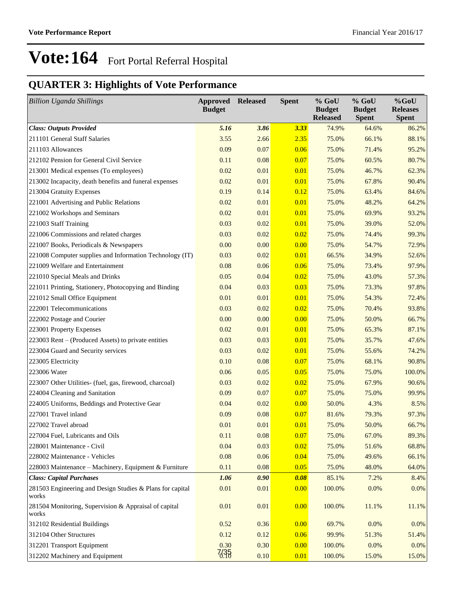### **QUARTER 3: Highlights of Vote Performance**

| <b>Billion Uganda Shillings</b>                                    | <b>Approved Released</b><br><b>Budget</b> |      | <b>Spent</b> | % GoU<br><b>Budget</b><br><b>Released</b> | $%$ GoU<br><b>Budget</b><br><b>Spent</b> | $%$ GoU<br><b>Releases</b><br><b>Spent</b> |
|--------------------------------------------------------------------|-------------------------------------------|------|--------------|-------------------------------------------|------------------------------------------|--------------------------------------------|
| <b>Class: Outputs Provided</b>                                     | 5.16                                      | 3.86 | 3.33         | 74.9%                                     | 64.6%                                    | 86.2%                                      |
| 211101 General Staff Salaries                                      | 3.55                                      | 2.66 | 2.35         | 75.0%                                     | 66.1%                                    | 88.1%                                      |
| 211103 Allowances                                                  | 0.09                                      | 0.07 | 0.06         | 75.0%                                     | 71.4%                                    | 95.2%                                      |
| 212102 Pension for General Civil Service                           | 0.11                                      | 0.08 | 0.07         | 75.0%                                     | 60.5%                                    | 80.7%                                      |
| 213001 Medical expenses (To employees)                             | 0.02                                      | 0.01 | 0.01         | 75.0%                                     | 46.7%                                    | 62.3%                                      |
| 213002 Incapacity, death benefits and funeral expenses             | 0.02                                      | 0.01 | 0.01         | 75.0%                                     | 67.8%                                    | 90.4%                                      |
| 213004 Gratuity Expenses                                           | 0.19                                      | 0.14 | 0.12         | 75.0%                                     | 63.4%                                    | 84.6%                                      |
| 221001 Advertising and Public Relations                            | 0.02                                      | 0.01 | 0.01         | 75.0%                                     | 48.2%                                    | 64.2%                                      |
| 221002 Workshops and Seminars                                      | 0.02                                      | 0.01 | 0.01         | 75.0%                                     | 69.9%                                    | 93.2%                                      |
| 221003 Staff Training                                              | 0.03                                      | 0.02 | 0.01         | 75.0%                                     | 39.0%                                    | 52.0%                                      |
| 221006 Commissions and related charges                             | 0.03                                      | 0.02 | 0.02         | 75.0%                                     | 74.4%                                    | 99.3%                                      |
| 221007 Books, Periodicals & Newspapers                             | 0.00                                      | 0.00 | 0.00         | 75.0%                                     | 54.7%                                    | 72.9%                                      |
| 221008 Computer supplies and Information Technology (IT)           | 0.03                                      | 0.02 | 0.01         | 66.5%                                     | 34.9%                                    | 52.6%                                      |
| 221009 Welfare and Entertainment                                   | 0.08                                      | 0.06 | 0.06         | 75.0%                                     | 73.4%                                    | 97.9%                                      |
| 221010 Special Meals and Drinks                                    | 0.05                                      | 0.04 | 0.02         | 75.0%                                     | 43.0%                                    | 57.3%                                      |
| 221011 Printing, Stationery, Photocopying and Binding              | 0.04                                      | 0.03 | 0.03         | 75.0%                                     | 73.3%                                    | 97.8%                                      |
| 221012 Small Office Equipment                                      | 0.01                                      | 0.01 | 0.01         | 75.0%                                     | 54.3%                                    | 72.4%                                      |
| 222001 Telecommunications                                          | 0.03                                      | 0.02 | 0.02         | 75.0%                                     | 70.4%                                    | 93.8%                                      |
| 222002 Postage and Courier                                         | 0.00                                      | 0.00 | 0.00         | 75.0%                                     | 50.0%                                    | 66.7%                                      |
| 223001 Property Expenses                                           | 0.02                                      | 0.01 | 0.01         | 75.0%                                     | 65.3%                                    | 87.1%                                      |
| 223003 Rent – (Produced Assets) to private entities                | 0.03                                      | 0.03 | 0.01         | 75.0%                                     | 35.7%                                    | 47.6%                                      |
| 223004 Guard and Security services                                 | 0.03                                      | 0.02 | 0.01         | 75.0%                                     | 55.6%                                    | 74.2%                                      |
| 223005 Electricity                                                 | 0.10                                      | 0.08 | 0.07         | 75.0%                                     | 68.1%                                    | 90.8%                                      |
| 223006 Water                                                       | 0.06                                      | 0.05 | 0.05         | 75.0%                                     | 75.0%                                    | 100.0%                                     |
| 223007 Other Utilities- (fuel, gas, firewood, charcoal)            | 0.03                                      | 0.02 | 0.02         | 75.0%                                     | 67.9%                                    | 90.6%                                      |
| 224004 Cleaning and Sanitation                                     | 0.09                                      | 0.07 | 0.07         | 75.0%                                     | 75.0%                                    | 99.9%                                      |
| 224005 Uniforms, Beddings and Protective Gear                      | 0.04                                      | 0.02 | 0.00         | 50.0%                                     | 4.3%                                     | 8.5%                                       |
| 227001 Travel inland                                               | 0.09                                      | 0.08 | 0.07         | 81.6%                                     | 79.3%                                    | 97.3%                                      |
| 227002 Travel abroad                                               | 0.01                                      | 0.01 | 0.01         | 75.0%                                     | 50.0%                                    | 66.7%                                      |
| 227004 Fuel, Lubricants and Oils                                   | 0.11                                      | 0.08 | 0.07         | 75.0%                                     | 67.0%                                    | 89.3%                                      |
| 228001 Maintenance - Civil                                         | 0.04                                      | 0.03 | 0.02         | 75.0%                                     | 51.6%                                    | 68.8%                                      |
| 228002 Maintenance - Vehicles                                      | 0.08                                      | 0.06 | 0.04         | 75.0%                                     | 49.6%                                    | 66.1%                                      |
| 228003 Maintenance - Machinery, Equipment & Furniture              | 0.11                                      | 0.08 | 0.05         | 75.0%                                     | 48.0%                                    | 64.0%                                      |
| <b>Class: Capital Purchases</b>                                    | 1.06                                      | 0.90 | 0.08         | 85.1%                                     | 7.2%                                     | 8.4%                                       |
| 281503 Engineering and Design Studies & Plans for capital<br>works | 0.01                                      | 0.01 | 0.00         | 100.0%                                    | 0.0%                                     | 0.0%                                       |
| 281504 Monitoring, Supervision & Appraisal of capital<br>works     | 0.01                                      | 0.01 | 0.00         | 100.0%                                    | 11.1%                                    | 11.1%                                      |
| 312102 Residential Buildings                                       | 0.52                                      | 0.36 | 0.00         | 69.7%                                     | 0.0%                                     | 0.0%                                       |
| 312104 Other Structures                                            | 0.12                                      | 0.12 | 0.06         | 99.9%                                     | 51.3%                                    | 51.4%                                      |
| 312201 Transport Equipment                                         | 0.30                                      | 0.30 | 0.00         | 100.0%                                    | 0.0%                                     | 0.0%                                       |
| 312202 Machinery and Equipment                                     | 7,35                                      | 0.10 | 0.01         | 100.0%                                    | 15.0%                                    | 15.0%                                      |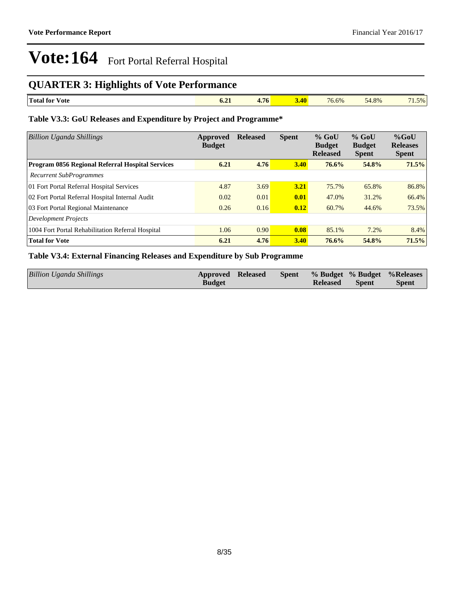### **QUARTER 3: Highlights of Vote Performance**

| <b>I</b><br>. Total for<br>∕ ote | $0.4+$ | $\overline{\phantom{a}}$<br>1.76 | $\sim$<br>$-1$ | 76.6% | 54.8% | $-$<br>$1.5\%$ |
|----------------------------------|--------|----------------------------------|----------------|-------|-------|----------------|

### **Table V3.3: GoU Releases and Expenditure by Project and Programme\***

| <b>Billion Uganda Shillings</b>                         | Approved<br><b>Budget</b> | <b>Released</b> | <b>Spent</b> | $%$ GoU<br><b>Budget</b><br><b>Released</b> | $%$ GoU<br><b>Budget</b><br><b>Spent</b> | $%$ GoU<br><b>Releases</b><br><b>Spent</b> |
|---------------------------------------------------------|---------------------------|-----------------|--------------|---------------------------------------------|------------------------------------------|--------------------------------------------|
| <b>Program 0856 Regional Referral Hospital Services</b> | 6.21                      | 4.76            | 3.40         | $76.6\%$                                    | 54.8%                                    | 71.5%                                      |
| <b>Recurrent SubProgrammes</b>                          |                           |                 |              |                                             |                                          |                                            |
| 01 Fort Portal Referral Hospital Services               | 4.87                      | 3.69            | 3.21         | 75.7%                                       | 65.8%                                    | 86.8%                                      |
| 02 Fort Portal Referral Hospital Internal Audit         | 0.02                      | 0.01            | 0.01         | 47.0%                                       | 31.2%                                    | 66.4%                                      |
| 03 Fort Portal Regional Maintenance                     | 0.26                      | 0.16            | 0.12         | 60.7%                                       | 44.6%                                    | 73.5%                                      |
| <b>Development Projects</b>                             |                           |                 |              |                                             |                                          |                                            |
| 1004 Fort Portal Rehabilitation Referral Hospital       | 1.06                      | 0.90            | 0.08         | 85.1%                                       | 7.2%                                     | 8.4%                                       |
| <b>Total for Vote</b>                                   | 6.21                      | 4.76            | 3.40         | 76.6%                                       | 54.8%                                    | 71.5%                                      |

### **Table V3.4: External Financing Releases and Expenditure by Sub Programme**

| <b>Billion Uganda Shillings</b> | <b>Approved Released</b> |  |                 |              | Spent % Budget % Budget % Releases |
|---------------------------------|--------------------------|--|-----------------|--------------|------------------------------------|
|                                 | <b>Budget</b>            |  | <b>Released</b> | <b>Spent</b> | <b>Spent</b>                       |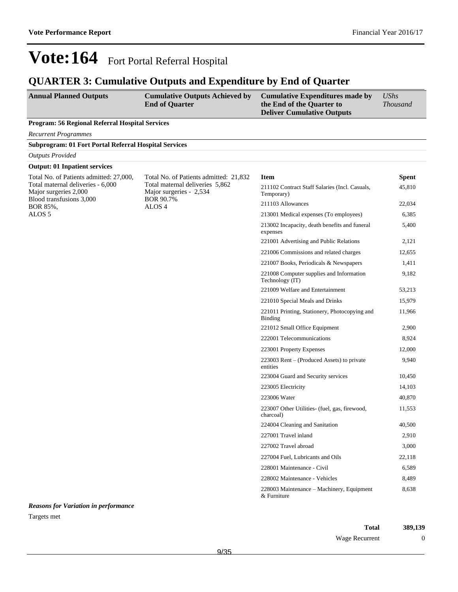### **QUARTER 3: Cumulative Outputs and Expenditure by End of Quarter**

| <b>Annual Planned Outputs</b>                   | <b>Cumulative Outputs Achieved by</b><br><b>End of Quarter</b> | <b>Cumulative Expenditures made by</b><br>the End of the Quarter to<br><b>Deliver Cumulative Outputs</b> | UShs<br><i>Thousand</i> |
|-------------------------------------------------|----------------------------------------------------------------|----------------------------------------------------------------------------------------------------------|-------------------------|
| Program: 56 Regional Referral Hospital Services |                                                                |                                                                                                          |                         |

*Recurrent Programmes*

| <b>Subprogram: 01 Fort Portal Referral Hospital Services</b> |                                                                                                                                               |                                                              |              |
|--------------------------------------------------------------|-----------------------------------------------------------------------------------------------------------------------------------------------|--------------------------------------------------------------|--------------|
| <b>Outputs Provided</b>                                      |                                                                                                                                               |                                                              |              |
| <b>Output: 01 Inpatient services</b>                         |                                                                                                                                               |                                                              |              |
| Total No. of Patients admitted: 27,000,                      | Total No. of Patients admitted: 21,832<br>Total maternal deliveries 5,862<br>Major surgeries - 2,534<br><b>BOR 90.7%</b><br>ALOS <sub>4</sub> | <b>Item</b>                                                  | <b>Spent</b> |
| Total maternal deliveries - 6,000<br>Major surgeries 2,000   |                                                                                                                                               | 211102 Contract Staff Salaries (Incl. Casuals,<br>Temporary) | 45,810       |
| Blood transfusions 3,000<br>BOR 85%,                         |                                                                                                                                               | 211103 Allowances                                            | 22,034       |
| ALOS <sub>5</sub>                                            |                                                                                                                                               | 213001 Medical expenses (To employees)                       | 6,385        |
|                                                              |                                                                                                                                               | 213002 Incapacity, death benefits and funeral<br>expenses    | 5,400        |
|                                                              |                                                                                                                                               | 221001 Advertising and Public Relations                      | 2,121        |
|                                                              |                                                                                                                                               | 221006 Commissions and related charges                       | 12,655       |
|                                                              |                                                                                                                                               | 221007 Books, Periodicals & Newspapers                       | 1,411        |
|                                                              |                                                                                                                                               | 221008 Computer supplies and Information<br>Technology (IT)  | 9,182        |
|                                                              |                                                                                                                                               | 221009 Welfare and Entertainment                             | 53,213       |
|                                                              |                                                                                                                                               | 221010 Special Meals and Drinks                              | 15,979       |
|                                                              |                                                                                                                                               | 221011 Printing, Stationery, Photocopying and<br>Binding     | 11,966       |
|                                                              |                                                                                                                                               | 221012 Small Office Equipment                                | 2,900        |
|                                                              |                                                                                                                                               | 222001 Telecommunications                                    | 8,924        |
|                                                              |                                                                                                                                               | 223001 Property Expenses                                     | 12,000       |
|                                                              |                                                                                                                                               | $223003$ Rent – (Produced Assets) to private<br>entities     | 9,940        |
|                                                              |                                                                                                                                               | 223004 Guard and Security services                           | 10,450       |
|                                                              |                                                                                                                                               | 223005 Electricity                                           | 14,103       |
|                                                              |                                                                                                                                               | 223006 Water                                                 | 40,870       |
|                                                              |                                                                                                                                               | 223007 Other Utilities- (fuel, gas, firewood,<br>charcoal)   | 11,553       |
|                                                              |                                                                                                                                               | 224004 Cleaning and Sanitation                               | 40,500       |
|                                                              |                                                                                                                                               | 227001 Travel inland                                         | 2,910        |
|                                                              |                                                                                                                                               | 227002 Travel abroad                                         | 3,000        |
|                                                              |                                                                                                                                               | 227004 Fuel, Lubricants and Oils                             | 22,118       |
|                                                              |                                                                                                                                               | 228001 Maintenance - Civil                                   | 6,589        |
|                                                              |                                                                                                                                               | 228002 Maintenance - Vehicles                                | 8,489        |
|                                                              |                                                                                                                                               | 228003 Maintenance - Machinery, Equipment<br>& Furniture     | 8,638        |

*Reasons for Variation in performance* Targets met

> **Total 389,139** Wage Recurrent 0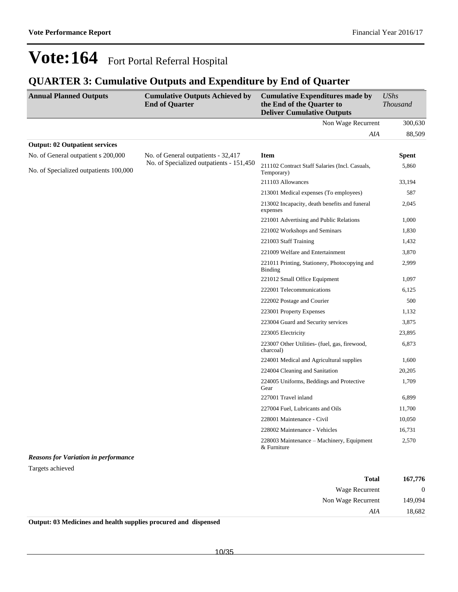### **QUARTER 3: Cumulative Outputs and Expenditure by End of Quarter**

| <b>Annual Planned Outputs</b>               | <b>Cumulative Outputs Achieved by</b><br><b>End of Quarter</b> | <b>Cumulative Expenditures made by</b><br>the End of the Quarter to<br><b>Deliver Cumulative Outputs</b> | <b>UShs</b><br><b>Thousand</b> |
|---------------------------------------------|----------------------------------------------------------------|----------------------------------------------------------------------------------------------------------|--------------------------------|
|                                             |                                                                | Non Wage Recurrent                                                                                       | 300,630                        |
|                                             |                                                                | AIA                                                                                                      | 88,509                         |
| <b>Output: 02 Outpatient services</b>       |                                                                |                                                                                                          |                                |
| No. of General outpatient s 200,000         | No. of General outpatients - 32,417                            | <b>Item</b>                                                                                              | <b>Spent</b>                   |
| No. of Specialized outpatients 100,000      | No. of Specialized outpatients - 151,450                       | 211102 Contract Staff Salaries (Incl. Casuals,<br>Temporary)                                             | 5,860                          |
|                                             |                                                                | 211103 Allowances                                                                                        | 33,194                         |
|                                             |                                                                | 213001 Medical expenses (To employees)                                                                   | 587                            |
|                                             |                                                                | 213002 Incapacity, death benefits and funeral<br>expenses                                                | 2,045                          |
|                                             |                                                                | 221001 Advertising and Public Relations                                                                  | 1,000                          |
|                                             |                                                                | 221002 Workshops and Seminars                                                                            | 1,830                          |
|                                             |                                                                | 221003 Staff Training                                                                                    | 1,432                          |
|                                             |                                                                | 221009 Welfare and Entertainment                                                                         | 3,870                          |
|                                             |                                                                | 221011 Printing, Stationery, Photocopying and<br><b>Binding</b>                                          | 2,999                          |
|                                             |                                                                | 221012 Small Office Equipment                                                                            | 1,097                          |
|                                             |                                                                | 222001 Telecommunications                                                                                | 6,125                          |
|                                             |                                                                | 222002 Postage and Courier                                                                               | 500                            |
|                                             |                                                                | 223001 Property Expenses                                                                                 | 1,132                          |
|                                             |                                                                | 223004 Guard and Security services                                                                       | 3,875                          |
|                                             |                                                                | 223005 Electricity                                                                                       | 23,895                         |
|                                             |                                                                | 223007 Other Utilities- (fuel, gas, firewood,<br>charcoal)                                               | 6,873                          |
|                                             |                                                                | 224001 Medical and Agricultural supplies                                                                 | 1,600                          |
|                                             |                                                                | 224004 Cleaning and Sanitation                                                                           | 20,205                         |
|                                             |                                                                | 224005 Uniforms, Beddings and Protective<br>Gear                                                         | 1,709                          |
|                                             |                                                                | 227001 Travel inland                                                                                     | 6,899                          |
|                                             |                                                                | 227004 Fuel, Lubricants and Oils                                                                         | 11,700                         |
|                                             |                                                                | 228001 Maintenance - Civil                                                                               | 10,050                         |
|                                             |                                                                | 228002 Maintenance - Vehicles                                                                            | 16,731                         |
|                                             |                                                                | 228003 Maintenance – Machinery, Equipment<br>& Furniture                                                 | 2,570                          |
| <b>Reasons for Variation in performance</b> |                                                                |                                                                                                          |                                |
| Targets achieved                            |                                                                |                                                                                                          |                                |

| 167,776        | <b>Total</b>          |
|----------------|-----------------------|
| $\overline{0}$ | <b>Wage Recurrent</b> |
| 149,094        | Non Wage Recurrent    |
| 18,682         | AIA                   |

**Output: 03 Medicines and health supplies procured and dispensed**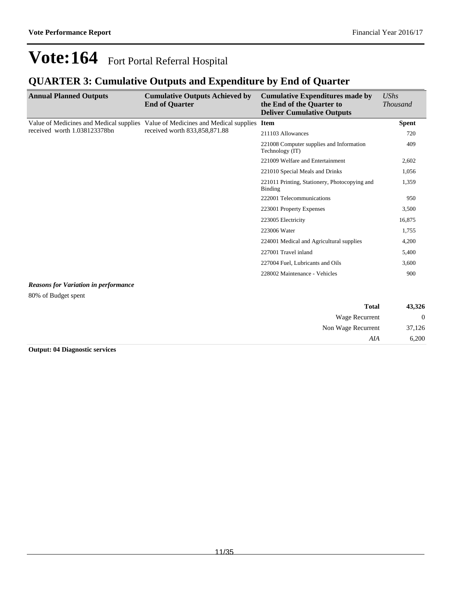### **QUARTER 3: Cumulative Outputs and Expenditure by End of Quarter**

| <b>Annual Planned Outputs</b>               | <b>Cumulative Outputs Achieved by</b><br><b>End of Quarter</b>                                                                                                                                                                                                                     | <b>Cumulative Expenditures made by</b><br>the End of the Quarter to<br><b>Deliver Cumulative Outputs</b> | <b>UShs</b><br><b>Thousand</b> |
|---------------------------------------------|------------------------------------------------------------------------------------------------------------------------------------------------------------------------------------------------------------------------------------------------------------------------------------|----------------------------------------------------------------------------------------------------------|--------------------------------|
|                                             | Value of Medicines and Medical supplies Value of Medicines and Medical supplies Item                                                                                                                                                                                               |                                                                                                          | <b>Spent</b>                   |
| received worth 1.038123378bn                | received worth 833,858,871.88<br>211103 Allowances<br>221008 Computer supplies and Information<br>Technology (IT)<br>221009 Welfare and Entertainment<br>221010 Special Meals and Drinks<br>Binding<br>222001 Telecommunications<br>223001 Property Expenses<br>223005 Electricity |                                                                                                          | 720                            |
|                                             |                                                                                                                                                                                                                                                                                    |                                                                                                          | 409                            |
|                                             |                                                                                                                                                                                                                                                                                    |                                                                                                          | 2,602                          |
|                                             |                                                                                                                                                                                                                                                                                    |                                                                                                          | 1,056                          |
|                                             |                                                                                                                                                                                                                                                                                    | 221011 Printing, Stationery, Photocopying and                                                            | 1,359                          |
|                                             |                                                                                                                                                                                                                                                                                    |                                                                                                          | 950                            |
|                                             |                                                                                                                                                                                                                                                                                    |                                                                                                          | 3,500                          |
|                                             |                                                                                                                                                                                                                                                                                    |                                                                                                          | 16,875                         |
|                                             |                                                                                                                                                                                                                                                                                    | 223006 Water                                                                                             | 1,755                          |
|                                             |                                                                                                                                                                                                                                                                                    | 224001 Medical and Agricultural supplies                                                                 | 4,200                          |
|                                             |                                                                                                                                                                                                                                                                                    | 227001 Travel inland                                                                                     | 5,400                          |
|                                             |                                                                                                                                                                                                                                                                                    | 227004 Fuel, Lubricants and Oils                                                                         | 3,600                          |
|                                             |                                                                                                                                                                                                                                                                                    | 228002 Maintenance - Vehicles                                                                            | 900                            |
| <b>Reasons for Variation in performance</b> |                                                                                                                                                                                                                                                                                    |                                                                                                          |                                |
| 80% of Budget spent                         |                                                                                                                                                                                                                                                                                    |                                                                                                          |                                |

| 43,326 | <b>Total</b>       |
|--------|--------------------|
| 0      | Wage Recurrent     |
| 37,126 | Non Wage Recurrent |
| 6,200  | AIA                |

**Output: 04 Diagnostic services**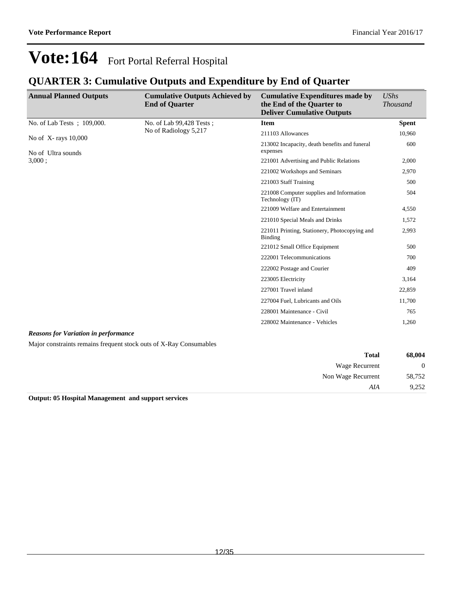Non Wage Recurrent 58,752

*AIA* 9,252

## **Vote:164** Fort Portal Referral Hospital

### **QUARTER 3: Cumulative Outputs and Expenditure by End of Quarter**

| <b>Annual Planned Outputs</b>                                      | <b>Cumulative Outputs Achieved by</b><br><b>End of Quarter</b> | <b>Cumulative Expenditures made by</b><br>the End of the Quarter to<br><b>Deliver Cumulative Outputs</b> | <b>UShs</b><br><b>Thousand</b> |
|--------------------------------------------------------------------|----------------------------------------------------------------|----------------------------------------------------------------------------------------------------------|--------------------------------|
| No. of Lab Tests; 109,000.                                         | No. of Lab 99,428 Tests;                                       | <b>Item</b>                                                                                              | <b>Spent</b>                   |
| No of X-rays 10,000<br>No of Ultra sounds                          | No of Radiology 5,217                                          | 211103 Allowances                                                                                        | 10,960                         |
|                                                                    |                                                                | 213002 Incapacity, death benefits and funeral<br>expenses                                                | 600                            |
| 3,000:                                                             |                                                                | 221001 Advertising and Public Relations                                                                  | 2,000                          |
|                                                                    |                                                                | 221002 Workshops and Seminars                                                                            | 2,970                          |
|                                                                    |                                                                | 221003 Staff Training                                                                                    | 500                            |
|                                                                    |                                                                | 221008 Computer supplies and Information<br>Technology (IT)                                              | 504                            |
|                                                                    |                                                                | 221009 Welfare and Entertainment                                                                         | 4,550                          |
|                                                                    |                                                                | 221010 Special Meals and Drinks                                                                          | 1,572                          |
|                                                                    |                                                                | 221011 Printing, Stationery, Photocopying and<br>Binding                                                 | 2,993                          |
|                                                                    |                                                                | 221012 Small Office Equipment                                                                            | 500                            |
|                                                                    |                                                                | 222001 Telecommunications                                                                                | 700                            |
|                                                                    |                                                                | 222002 Postage and Courier                                                                               | 409                            |
|                                                                    |                                                                | 223005 Electricity                                                                                       | 3,164                          |
|                                                                    |                                                                | 227001 Travel inland                                                                                     | 22,859                         |
|                                                                    |                                                                | 227004 Fuel, Lubricants and Oils                                                                         | 11,700                         |
|                                                                    |                                                                | 228001 Maintenance - Civil                                                                               | 765                            |
|                                                                    |                                                                | 228002 Maintenance - Vehicles                                                                            | 1,260                          |
| <b>Reasons for Variation in performance</b>                        |                                                                |                                                                                                          |                                |
| Major constraints remains frequent stock outs of X-Ray Consumables |                                                                |                                                                                                          |                                |
|                                                                    |                                                                | <b>Total</b>                                                                                             | 68,004                         |
|                                                                    |                                                                | <b>Wage Recurrent</b>                                                                                    | $\mathbf{0}$                   |

**Output: 05 Hospital Management and support services**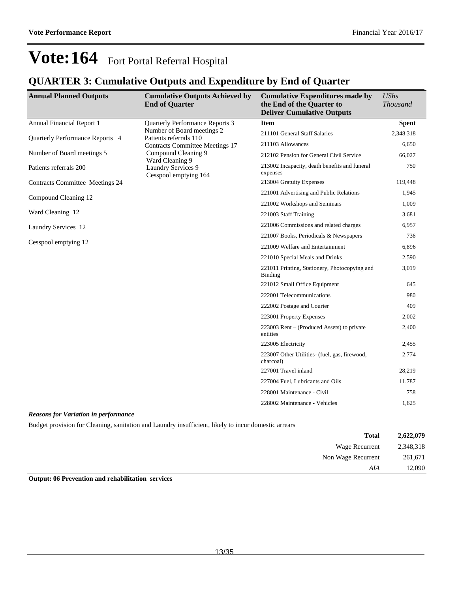### **QUARTER 3: Cumulative Outputs and Expenditure by End of Quarter**

| <b>Annual Planned Outputs</b>   | <b>Cumulative Outputs Achieved by</b><br><b>End of Quarter</b> | <b>Cumulative Expenditures made by</b><br>the End of the Quarter to<br><b>Deliver Cumulative Outputs</b> | <b>UShs</b><br><b>Thousand</b> |
|---------------------------------|----------------------------------------------------------------|----------------------------------------------------------------------------------------------------------|--------------------------------|
| Annual Financial Report 1       | <b>Ouarterly Performance Reports 3</b>                         | <b>Item</b>                                                                                              | <b>Spent</b>                   |
| Quarterly Performance Reports 4 | Number of Board meetings 2<br>Patients referrals 110           | 211101 General Staff Salaries                                                                            | 2,348,318                      |
|                                 | <b>Contracts Committee Meetings 17</b>                         | 211103 Allowances                                                                                        | 6,650                          |
| Number of Board meetings 5      | Compound Cleaning 9<br>Ward Cleaning 9                         | 212102 Pension for General Civil Service                                                                 | 66,027                         |
| Patients referrals 200          | <b>Laundry Services 9</b><br>Cesspool emptying 164             | 213002 Incapacity, death benefits and funeral<br>expenses                                                | 750                            |
| Contracts Committee Meetings 24 |                                                                | 213004 Gratuity Expenses                                                                                 | 119,448                        |
| Compound Cleaning 12            |                                                                | 221001 Advertising and Public Relations                                                                  | 1,945                          |
|                                 |                                                                | 221002 Workshops and Seminars                                                                            | 1,009                          |
| Ward Cleaning 12                |                                                                | 221003 Staff Training                                                                                    | 3,681                          |
| Laundry Services 12             |                                                                | 221006 Commissions and related charges                                                                   | 6,957                          |
|                                 |                                                                | 221007 Books, Periodicals & Newspapers                                                                   | 736                            |
| Cesspool emptying 12            |                                                                | 221009 Welfare and Entertainment                                                                         | 6,896                          |
|                                 |                                                                | 221010 Special Meals and Drinks                                                                          | 2,590                          |
|                                 |                                                                | 221011 Printing, Stationery, Photocopying and<br><b>Binding</b>                                          | 3,019                          |
|                                 |                                                                | 221012 Small Office Equipment                                                                            | 645                            |
|                                 |                                                                | 222001 Telecommunications                                                                                | 980                            |
|                                 |                                                                | 222002 Postage and Courier                                                                               | 409                            |
|                                 |                                                                | 223001 Property Expenses                                                                                 | 2,002                          |
|                                 |                                                                | 223003 Rent – (Produced Assets) to private<br>entities                                                   | 2,400                          |
|                                 |                                                                | 223005 Electricity                                                                                       | 2,455                          |
|                                 |                                                                | 223007 Other Utilities- (fuel, gas, firewood,<br>charcoal)                                               | 2,774                          |
|                                 |                                                                | 227001 Travel inland                                                                                     | 28,219                         |
|                                 |                                                                | 227004 Fuel, Lubricants and Oils                                                                         | 11,787                         |
|                                 |                                                                | 228001 Maintenance - Civil                                                                               | 758                            |
|                                 |                                                                | 228002 Maintenance - Vehicles                                                                            | 1,625                          |

*Reasons for Variation in performance*

Budget provision for Cleaning, sanitation and Laundry insufficient, likely to incur domestic arrears

| 2,622,079 | <b>Total</b>       |
|-----------|--------------------|
| 2,348,318 | Wage Recurrent     |
| 261,671   | Non Wage Recurrent |
| 12,090    | AIA                |

**Output: 06 Prevention and rehabilitation services**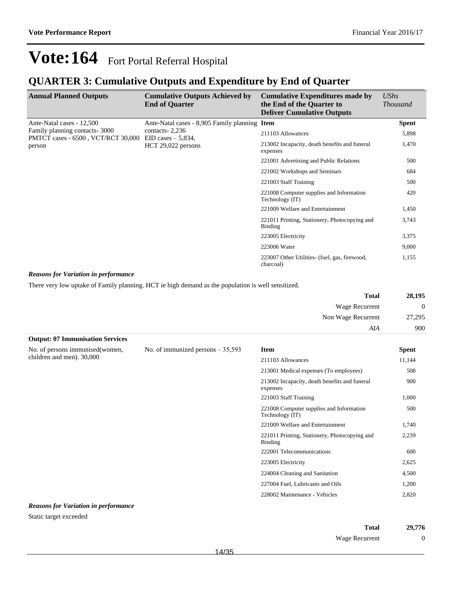### **QUARTER 3: Cumulative Outputs and Expenditure by End of Quarter**

| <b>Annual Planned Outputs</b>                                       | <b>Cumulative Outputs Achieved by</b><br><b>End of Quarter</b>                                             | <b>Cumulative Expenditures made by</b><br>the End of the Quarter to<br><b>Deliver Cumulative Outputs</b> | <b>UShs</b><br><i>Thousand</i> |
|---------------------------------------------------------------------|------------------------------------------------------------------------------------------------------------|----------------------------------------------------------------------------------------------------------|--------------------------------|
| Ante-Natal cases - 12,500                                           | Ante-Natal cases - 8,905 Family planning Item                                                              |                                                                                                          | <b>Spent</b>                   |
| Family planning contacts-3000<br>PMTCT cases - 6500, VCT/RCT 30,000 | contacts $-2,236$<br>211103 Allowances<br>EID cases $-5,834$ ,                                             |                                                                                                          | 5,898                          |
| person                                                              | $HCT 29,022$ persons                                                                                       | 213002 Incapacity, death benefits and funeral<br>expenses<br>221001 Advertising and Public Relations     | 1,470                          |
|                                                                     |                                                                                                            |                                                                                                          | 500                            |
|                                                                     |                                                                                                            | 221002 Workshops and Seminars                                                                            | 684                            |
|                                                                     |                                                                                                            | 221003 Staff Training                                                                                    | 500                            |
|                                                                     | 221008 Computer supplies and Information<br>Technology (IT)<br>221009 Welfare and Entertainment<br>Binding |                                                                                                          | 420                            |
|                                                                     |                                                                                                            |                                                                                                          | 1,450                          |
|                                                                     |                                                                                                            | 221011 Printing, Stationery, Photocopying and                                                            | 3,743                          |
|                                                                     |                                                                                                            | 223005 Electricity                                                                                       | 3,375                          |
|                                                                     |                                                                                                            | 223006 Water                                                                                             | 9,000                          |
|                                                                     |                                                                                                            | 223007 Other Utilities- (fuel, gas, firewood,<br>charcoal)                                               | 1,155                          |

#### *Reasons for Variation in performance*

There very low uptake of Family planning. HCT ie high demand as the population is well sensitized.

| <b>Total</b>                            | 28,195         |
|-----------------------------------------|----------------|
| Wage Recurrent                          | $\overline{0}$ |
| Non Wage Recurrent                      | 27,295         |
| AIA                                     | 900            |
| <b>Output: 07 Immunisation Services</b> |                |

| No. of persons immunised (women, | No. of immunized persons $-35,593$ | <b>Item</b>                                                 | <b>Spent</b> |
|----------------------------------|------------------------------------|-------------------------------------------------------------|--------------|
| children and men). 30,000        |                                    | 211103 Allowances                                           | 11,144       |
|                                  |                                    | 213001 Medical expenses (To employees)                      | 508          |
|                                  |                                    | 213002 Incapacity, death benefits and funeral<br>expenses   | 900          |
|                                  |                                    | 221003 Staff Training                                       | 1,000        |
|                                  |                                    | 221008 Computer supplies and Information<br>Technology (IT) | 500          |
|                                  |                                    | 221009 Welfare and Entertainment                            | 1,740        |
|                                  |                                    | 221011 Printing, Stationery, Photocopying and<br>Binding    | 2,239        |
|                                  |                                    | 222001 Telecommunications                                   | 600          |
|                                  |                                    | 223005 Electricity                                          | 2,625        |
|                                  |                                    | 224004 Cleaning and Sanitation                              | 4,500        |
|                                  |                                    | 227004 Fuel, Lubricants and Oils                            | 1,200        |
|                                  |                                    | 228002 Maintenance - Vehicles                               | 2,820        |

#### *Reasons for Variation in performance*

Static target exceeded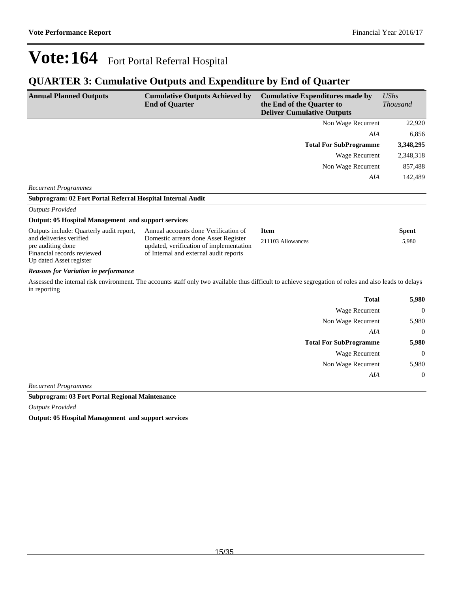### **QUARTER 3: Cumulative Outputs and Expenditure by End of Quarter**

| <b>Annual Planned Outputs</b>                                                                         | <b>Cumulative Outputs Achieved by</b><br><b>End of Quarter</b>                                                            | <b>Cumulative Expenditures made by</b><br>the End of the Quarter to<br><b>Deliver Cumulative Outputs</b>                                              | <b>UShs</b><br><b>Thousand</b> |
|-------------------------------------------------------------------------------------------------------|---------------------------------------------------------------------------------------------------------------------------|-------------------------------------------------------------------------------------------------------------------------------------------------------|--------------------------------|
|                                                                                                       |                                                                                                                           | Non Wage Recurrent                                                                                                                                    | 22,920                         |
|                                                                                                       |                                                                                                                           | AIA                                                                                                                                                   | 6,856                          |
|                                                                                                       |                                                                                                                           | <b>Total For SubProgramme</b>                                                                                                                         | 3,348,295                      |
|                                                                                                       |                                                                                                                           | Wage Recurrent                                                                                                                                        | 2,348,318                      |
|                                                                                                       |                                                                                                                           | Non Wage Recurrent                                                                                                                                    | 857,488                        |
|                                                                                                       |                                                                                                                           | AIA                                                                                                                                                   | 142,489                        |
| <b>Recurrent Programmes</b>                                                                           |                                                                                                                           |                                                                                                                                                       |                                |
| Subprogram: 02 Fort Portal Referral Hospital Internal Audit                                           |                                                                                                                           |                                                                                                                                                       |                                |
| <b>Outputs Provided</b>                                                                               |                                                                                                                           |                                                                                                                                                       |                                |
| <b>Output: 05 Hospital Management and support services</b>                                            |                                                                                                                           |                                                                                                                                                       |                                |
| Outputs include: Quarterly audit report,                                                              | Annual accounts done Verification of                                                                                      | <b>Item</b>                                                                                                                                           | <b>Spent</b>                   |
| and deliveries verified<br>pre auditing done<br>Financial records reviewed<br>Up dated Asset register | Domestic arrears done Asset Register<br>updated, verification of implementation<br>of Internal and external audit reports | 211103 Allowances                                                                                                                                     | 5,980                          |
| <b>Reasons for Variation in performance</b>                                                           |                                                                                                                           |                                                                                                                                                       |                                |
| in reporting                                                                                          |                                                                                                                           | Assessed the internal risk environment. The accounts staff only two available thus difficult to achieve segregation of roles and also leads to delays |                                |

| <b>Total</b>                  | 5,980    |
|-------------------------------|----------|
| <b>Wage Recurrent</b>         | $\theta$ |
| Non Wage Recurrent            | 5,980    |
| AIA                           | $\theta$ |
| <b>Total For SubProgramme</b> | 5,980    |
| <b>Wage Recurrent</b>         | $\theta$ |
| Non Wage Recurrent            | 5,980    |
| AIA                           | $\theta$ |
| <b>Recurrent Programmes</b>   |          |

**Subprogram: 03 Fort Portal Regional Maintenance**

*Outputs Provided*

**Output: 05 Hospital Management and support services**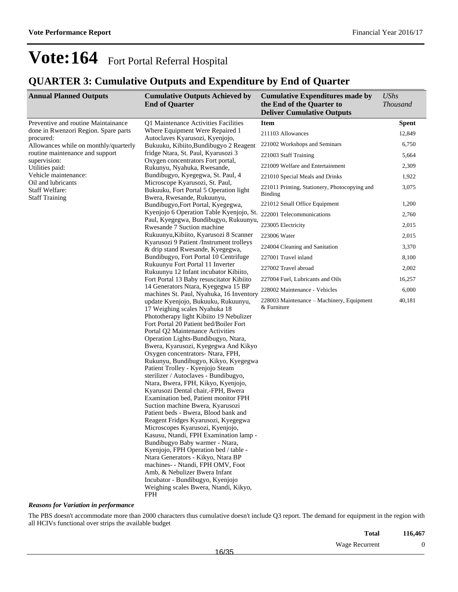### **QUARTER 3: Cumulative Outputs and Expenditure by End of Quarter**

| <b>Annual Planned Outputs</b>                      | <b>Cumulative Outputs Achieved by</b><br><b>End of Quarter</b>                                           | <b>Cumulative Expenditures made by</b><br>the End of the Quarter to<br><b>Deliver Cumulative Outputs</b> | <b>UShs</b><br><b>Thousand</b> |
|----------------------------------------------------|----------------------------------------------------------------------------------------------------------|----------------------------------------------------------------------------------------------------------|--------------------------------|
| Preventive and routine Maintainance                | Q1 Maintenance Activities Facilities                                                                     | <b>Item</b>                                                                                              | <b>Spent</b>                   |
| done in Rwenzori Region. Spare parts               | Where Equipment Were Repaired 1                                                                          | 211103 Allowances                                                                                        | 12,849                         |
| procured:<br>Allowances while on monthly/quarterly | Autoclaves Kyarusozi, Kyenjojo,<br>Bukuuku, Kibiito, Bundibugyo 2 Reagent                                | 221002 Workshops and Seminars                                                                            | 6,750                          |
| routine maintenance and support                    | fridge Ntara, St. Paul, Kyarusozi 3                                                                      | 221003 Staff Training                                                                                    | 5,664                          |
| supervision:<br>Utilities paid:                    | Oxygen concentrators Fort portal,<br>Rukunyu, Nyahuka, Rwesande,                                         | 221009 Welfare and Entertainment                                                                         | 2,309                          |
| Vehicle maintenance:                               | Bundibugyo, Kyegegwa, St. Paul, 4                                                                        | 221010 Special Meals and Drinks                                                                          | 1,922                          |
| Oil and lubricants                                 | Microscope Kyarusozi, St. Paul,                                                                          |                                                                                                          |                                |
| <b>Staff Welfare:</b>                              | Bukuuku, Fort Portal 5 Operation light                                                                   | 221011 Printing, Stationery, Photocopying and<br>Binding                                                 | 3,075                          |
| <b>Staff Training</b>                              | Bwera, Rwesande, Rukuunyu,                                                                               | 221012 Small Office Equipment                                                                            | 1,200                          |
|                                                    | Bundibugyo, Fort Portal, Kyegegwa,<br>Kyenjojo 6 Operation Table Kyenjojo, St. 222001 Telecommunications |                                                                                                          |                                |
|                                                    | Paul, Kyegegwa, Bundibugyo, Rukuunyu,                                                                    |                                                                                                          | 2,760                          |
|                                                    | Rwesande 7 Suction machine                                                                               | 223005 Electricity                                                                                       | 2,015                          |
|                                                    | Rukuunyu, Kibiito, Kyarusozi 8 Scanner                                                                   | 223006 Water                                                                                             | 2,015                          |
|                                                    | Kyarusozi 9 Patient /Instrument trolleys<br>& drip stand Rwesande, Kyegegwa,                             | 224004 Cleaning and Sanitation                                                                           | 3,370                          |
|                                                    | Bundibugyo, Fort Portal 10 Centrifuge                                                                    | 227001 Travel inland                                                                                     | 8,100                          |
|                                                    | Rukuunyu Fort Portal 11 Inverter                                                                         | 227002 Travel abroad                                                                                     | 2,002                          |
|                                                    | Rukuunyu 12 Infant incubator Kibiito,<br>Fort Portal 13 Baby resuscitator Kibiito                        | 227004 Fuel, Lubricants and Oils                                                                         | 16,257                         |
|                                                    | 14 Generators Ntara, Kyegegwa 15 BP                                                                      |                                                                                                          |                                |
|                                                    | machines St. Paul, Nyahuka, 16 Inventory                                                                 | 228002 Maintenance - Vehicles                                                                            | 6,000                          |
|                                                    | update Kyenjojo, Bukuuku, Rukuunyu,                                                                      | 228003 Maintenance - Machinery, Equipment<br>& Furniture                                                 | 40,181                         |
|                                                    | 17 Weighing scales Nyahuka 18<br>Phototherapy light Kibiito 19 Nebulizer                                 |                                                                                                          |                                |
|                                                    | Fort Portal 20 Patient bed/Boiler Fort                                                                   |                                                                                                          |                                |
|                                                    | Portal Q2 Maintenance Activities                                                                         |                                                                                                          |                                |
|                                                    | Operation Lights-Bundibugyo, Ntara,                                                                      |                                                                                                          |                                |
|                                                    | Bwera, Kyarusozi, Kyegegwa And Kikyo                                                                     |                                                                                                          |                                |
|                                                    | Oxygen concentrators- Ntara, FPH,                                                                        |                                                                                                          |                                |
|                                                    | Rukunyu, Bundibugyo, Kikyo, Kyegegwa<br>Patient Trolley - Kyenjojo Steam                                 |                                                                                                          |                                |
|                                                    | sterilizer / Autoclaves - Bundibugyo,                                                                    |                                                                                                          |                                |
|                                                    | Ntara, Bwera, FPH, Kikyo, Kyenjojo,                                                                      |                                                                                                          |                                |
|                                                    | Kyarusozi Dental chair,-FPH, Bwera                                                                       |                                                                                                          |                                |
|                                                    | Examination bed, Patient monitor FPH                                                                     |                                                                                                          |                                |
|                                                    | Suction machine Bwera, Kyarusozi                                                                         |                                                                                                          |                                |
|                                                    | Patient beds - Bwera, Blood bank and                                                                     |                                                                                                          |                                |
|                                                    | Reagent Fridges Kyarusozi, Kyegegwa                                                                      |                                                                                                          |                                |
|                                                    | Microscopes Kyarusozi, Kyenjojo,                                                                         |                                                                                                          |                                |
|                                                    | Kasusu, Ntandi, FPH Examination lamp -<br>Bundibugyo Baby warmer - Ntara,                                |                                                                                                          |                                |
|                                                    | Kyenjojo, FPH Operation bed / table -                                                                    |                                                                                                          |                                |
|                                                    | Ntara Generators - Kikyo, Ntara BP                                                                       |                                                                                                          |                                |
|                                                    | machines- - Ntandi, FPH OMV, Foot                                                                        |                                                                                                          |                                |
|                                                    | Amb. & Nebulizer Bwera Infant                                                                            |                                                                                                          |                                |
|                                                    | Incubator - Bundibugyo, Kyenjojo                                                                         |                                                                                                          |                                |
|                                                    | Weighing scales Bwera, Ntandi, Kikyo,                                                                    |                                                                                                          |                                |
|                                                    | FPH                                                                                                      |                                                                                                          |                                |

*Reasons for Variation in performance*

The PBS doesn't accommodate more than 2000 characters thus cumulative doesn't include Q3 report. The demand for equipment in the region with all HCIVs functional over strips the available budget

| <b>Total</b>   | 116,467 |
|----------------|---------|
| Wage Recurrent |         |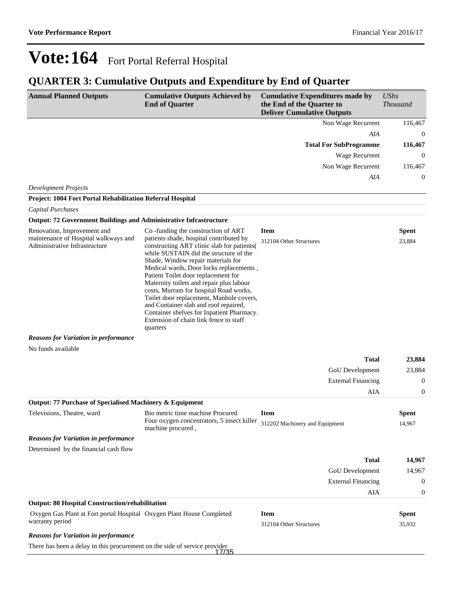### **QUARTER 3: Cumulative Outputs and Expenditure by End of Quarter**

| <b>Annual Planned Outputs</b>                                                                                                                                             | <b>Cumulative Outputs Achieved by</b><br><b>End of Quarter</b>                                                                                                                                                                                                                                                                                                                                                                                                                                                                                                              | <b>Cumulative Expenditures made by</b><br>the End of the Quarter to<br><b>Deliver Cumulative Outputs</b> |                                 | <b>UShs</b><br><b>Thousand</b>             |
|---------------------------------------------------------------------------------------------------------------------------------------------------------------------------|-----------------------------------------------------------------------------------------------------------------------------------------------------------------------------------------------------------------------------------------------------------------------------------------------------------------------------------------------------------------------------------------------------------------------------------------------------------------------------------------------------------------------------------------------------------------------------|----------------------------------------------------------------------------------------------------------|---------------------------------|--------------------------------------------|
|                                                                                                                                                                           |                                                                                                                                                                                                                                                                                                                                                                                                                                                                                                                                                                             |                                                                                                          | Non Wage Recurrent              | 116,467                                    |
|                                                                                                                                                                           |                                                                                                                                                                                                                                                                                                                                                                                                                                                                                                                                                                             |                                                                                                          | AIA                             | $\mathbf{0}$                               |
|                                                                                                                                                                           |                                                                                                                                                                                                                                                                                                                                                                                                                                                                                                                                                                             |                                                                                                          | <b>Total For SubProgramme</b>   | 116,467                                    |
|                                                                                                                                                                           |                                                                                                                                                                                                                                                                                                                                                                                                                                                                                                                                                                             |                                                                                                          | Wage Recurrent                  | $\theta$                                   |
|                                                                                                                                                                           |                                                                                                                                                                                                                                                                                                                                                                                                                                                                                                                                                                             |                                                                                                          | Non Wage Recurrent              | 116,467                                    |
|                                                                                                                                                                           |                                                                                                                                                                                                                                                                                                                                                                                                                                                                                                                                                                             |                                                                                                          | AIA                             | $\mathbf{0}$                               |
| <b>Development Projects</b><br>Project: 1004 Fort Portal Rehabilitation Referral Hospital                                                                                 |                                                                                                                                                                                                                                                                                                                                                                                                                                                                                                                                                                             |                                                                                                          |                                 |                                            |
| <b>Capital Purchases</b>                                                                                                                                                  |                                                                                                                                                                                                                                                                                                                                                                                                                                                                                                                                                                             |                                                                                                          |                                 |                                            |
| <b>Output: 72 Government Buildings and Administrative Infrastructure</b>                                                                                                  |                                                                                                                                                                                                                                                                                                                                                                                                                                                                                                                                                                             |                                                                                                          |                                 |                                            |
| Renovation, Improvement and<br>maintenance of Hospital walkways and<br>Administrative Infrastructure<br><b>Reasons for Variation in performance</b><br>No funds available | Co-funding the construction of ART<br>patients shade, hospital contributed by<br>constructing ART clinic slab for patients(<br>while SUSTAIN did the structure of the<br>Shade, Window repair materials for<br>Medical wards, Door locks replacements,<br>Patient Toilet door replacement for<br>Maternity toilets and repair plus labour<br>costs, Murram for hospital Road works,<br>Toilet door replacement, Manhole covers,<br>and Container slab and roof repaired,<br>Container shelves for Inpatient Pharmacy.<br>Extension of chain link fence to staff<br>quarters | <b>Item</b><br>312104 Other Structures                                                                   | <b>Total</b><br>GoU Development | <b>Spent</b><br>23,884<br>23,884<br>23,884 |
|                                                                                                                                                                           |                                                                                                                                                                                                                                                                                                                                                                                                                                                                                                                                                                             |                                                                                                          | <b>External Financing</b>       | $\overline{0}$                             |
| Output: 77 Purchase of Specialised Machinery & Equipment                                                                                                                  |                                                                                                                                                                                                                                                                                                                                                                                                                                                                                                                                                                             |                                                                                                          | AIA                             | $\boldsymbol{0}$                           |
| Televisions, Theatre, ward                                                                                                                                                | Bio metric time machine Procured                                                                                                                                                                                                                                                                                                                                                                                                                                                                                                                                            | <b>Item</b>                                                                                              |                                 | <b>Spent</b>                               |
|                                                                                                                                                                           | Four oxygen concentrators, 5 insect killer 312202 Machinery and Equipment<br>machine procured,                                                                                                                                                                                                                                                                                                                                                                                                                                                                              |                                                                                                          |                                 | 14,967                                     |
| <b>Reasons for Variation in performance</b>                                                                                                                               |                                                                                                                                                                                                                                                                                                                                                                                                                                                                                                                                                                             |                                                                                                          |                                 |                                            |
| Determined by the financial cash flow                                                                                                                                     |                                                                                                                                                                                                                                                                                                                                                                                                                                                                                                                                                                             |                                                                                                          |                                 |                                            |
|                                                                                                                                                                           |                                                                                                                                                                                                                                                                                                                                                                                                                                                                                                                                                                             |                                                                                                          | <b>Total</b>                    | 14,967                                     |
|                                                                                                                                                                           |                                                                                                                                                                                                                                                                                                                                                                                                                                                                                                                                                                             |                                                                                                          | GoU Development                 | 14,967                                     |
|                                                                                                                                                                           |                                                                                                                                                                                                                                                                                                                                                                                                                                                                                                                                                                             |                                                                                                          | <b>External Financing</b>       | $\mathbf{0}$                               |
|                                                                                                                                                                           |                                                                                                                                                                                                                                                                                                                                                                                                                                                                                                                                                                             |                                                                                                          | <b>AIA</b>                      | $\boldsymbol{0}$                           |
| <b>Output: 80 Hospital Construction/rehabilitation</b>                                                                                                                    |                                                                                                                                                                                                                                                                                                                                                                                                                                                                                                                                                                             |                                                                                                          |                                 |                                            |
| Oxygen Gas Plant at Fort portal Hospital Oxygen Plant House Completed<br>warranty period                                                                                  |                                                                                                                                                                                                                                                                                                                                                                                                                                                                                                                                                                             | <b>Item</b><br>312104 Other Structures                                                                   |                                 | <b>Spent</b><br>35,932                     |
| <b>Reasons for Variation in performance</b>                                                                                                                               |                                                                                                                                                                                                                                                                                                                                                                                                                                                                                                                                                                             |                                                                                                          |                                 |                                            |
| There has been a delay in this procurement on the side of service provider                                                                                                | 17/35                                                                                                                                                                                                                                                                                                                                                                                                                                                                                                                                                                       |                                                                                                          |                                 |                                            |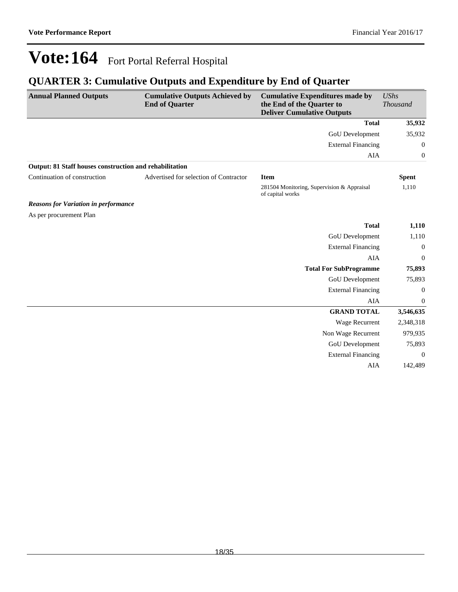### **QUARTER 3: Cumulative Outputs and Expenditure by End of Quarter**

| <b>Annual Planned Outputs</b>                           | <b>Cumulative Outputs Achieved by</b><br><b>End of Quarter</b> | <b>Cumulative Expenditures made by</b><br>the End of the Quarter to<br><b>Deliver Cumulative Outputs</b> | <b>UShs</b><br><b>Thousand</b> |
|---------------------------------------------------------|----------------------------------------------------------------|----------------------------------------------------------------------------------------------------------|--------------------------------|
|                                                         |                                                                | <b>Total</b>                                                                                             | 35,932                         |
|                                                         |                                                                | GoU Development                                                                                          | 35,932                         |
|                                                         |                                                                | <b>External Financing</b>                                                                                | $\boldsymbol{0}$               |
|                                                         |                                                                | AIA                                                                                                      | $\boldsymbol{0}$               |
| Output: 81 Staff houses construction and rehabilitation |                                                                |                                                                                                          |                                |
| Continuation of construction                            | Advertised for selection of Contractor                         | <b>Item</b>                                                                                              | <b>Spent</b>                   |
|                                                         |                                                                | 281504 Monitoring, Supervision & Appraisal<br>of capital works                                           | 1,110                          |
| <b>Reasons for Variation in performance</b>             |                                                                |                                                                                                          |                                |
| As per procurement Plan                                 |                                                                |                                                                                                          |                                |
|                                                         |                                                                | <b>Total</b>                                                                                             | 1,110                          |
|                                                         |                                                                | GoU Development                                                                                          | 1,110                          |
|                                                         |                                                                | <b>External Financing</b>                                                                                | $\boldsymbol{0}$               |
|                                                         |                                                                | <b>AIA</b>                                                                                               | $\theta$                       |
|                                                         |                                                                | <b>Total For SubProgramme</b>                                                                            | 75,893                         |
|                                                         |                                                                | GoU Development                                                                                          | 75,893                         |
|                                                         |                                                                | <b>External Financing</b>                                                                                | $\theta$                       |
|                                                         |                                                                | AIA                                                                                                      | $\boldsymbol{0}$               |
|                                                         |                                                                | <b>GRAND TOTAL</b>                                                                                       | 3,546,635                      |
|                                                         |                                                                | Wage Recurrent                                                                                           | 2,348,318                      |
|                                                         |                                                                | Non Wage Recurrent                                                                                       | 979,935                        |
|                                                         |                                                                | GoU Development                                                                                          | 75,893                         |
|                                                         |                                                                | <b>External Financing</b>                                                                                | $\Omega$                       |
|                                                         |                                                                | AIA                                                                                                      | 142,489                        |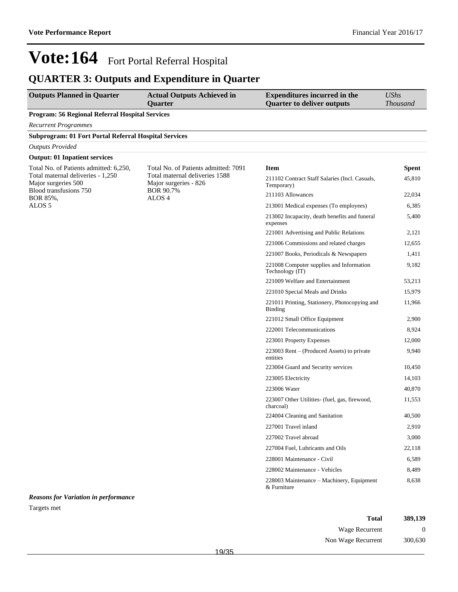### **QUARTER 3: Outputs and Expenditure in Quarter**

| <b>Outputs Planned in Quarter</b>                                                  | <b>Actual Outputs Achieved in</b><br>Quarter                                | <b>Expenditures incurred in the</b><br><b>Quarter to deliver outputs</b> | <b>UShs</b><br><b>Thousand</b> |
|------------------------------------------------------------------------------------|-----------------------------------------------------------------------------|--------------------------------------------------------------------------|--------------------------------|
| Program: 56 Regional Referral Hospital Services                                    |                                                                             |                                                                          |                                |
| <b>Recurrent Programmes</b>                                                        |                                                                             |                                                                          |                                |
| <b>Subprogram: 01 Fort Portal Referral Hospital Services</b>                       |                                                                             |                                                                          |                                |
| <b>Outputs Provided</b>                                                            |                                                                             |                                                                          |                                |
| <b>Output: 01 Inpatient services</b>                                               |                                                                             |                                                                          |                                |
| Total No. of Patients admitted: 6,250,<br>Total No. of Patients admitted: 7091     |                                                                             | <b>Item</b>                                                              | <b>Spent</b>                   |
| Total maternal deliveries - 1,250<br>Major surgeries 500<br>Blood transfusions 750 | Total maternal deliveries 1588<br>Major surgeries - 826<br><b>BOR 90.7%</b> | 211102 Contract Staff Salaries (Incl. Casuals,<br>Temporary)             | 45,810                         |
| BOR 85%,                                                                           | ALOS <sub>4</sub>                                                           | 211103 Allowances                                                        | 22,034                         |
| ALOS <sub>5</sub>                                                                  |                                                                             | 213001 Medical expenses (To employees)                                   | 6,385                          |
|                                                                                    |                                                                             | 213002 Incapacity, death benefits and funeral<br>expenses                | 5,400                          |
|                                                                                    |                                                                             | 221001 Advertising and Public Relations                                  | 2,121                          |
|                                                                                    |                                                                             | 221006 Commissions and related charges                                   | 12.655                         |
|                                                                                    |                                                                             | 221007 Books, Periodicals & Newspapers                                   | 1,411                          |
|                                                                                    |                                                                             | 221008 Computer supplies and Information<br>Technology (IT)              | 9,182                          |
|                                                                                    |                                                                             | 221009 Welfare and Entertainment                                         | 53,213                         |
|                                                                                    |                                                                             | 221010 Special Meals and Drinks                                          | 15,979                         |
|                                                                                    |                                                                             | 221011 Printing, Stationery, Photocopying and<br>Binding                 | 11,966                         |
|                                                                                    |                                                                             | 221012 Small Office Equipment                                            | 2,900                          |
|                                                                                    |                                                                             | 222001 Telecommunications                                                | 8,924                          |
|                                                                                    |                                                                             | 223001 Property Expenses                                                 | 12,000                         |
|                                                                                    |                                                                             | 223003 Rent – (Produced Assets) to private<br>entities                   | 9,940                          |
|                                                                                    |                                                                             | 223004 Guard and Security services                                       | 10,450                         |
|                                                                                    |                                                                             | 223005 Electricity                                                       | 14,103                         |
|                                                                                    |                                                                             | 223006 Water                                                             | 40,870                         |
|                                                                                    |                                                                             | 223007 Other Utilities- (fuel, gas, firewood,<br>charcoal)               | 11,553                         |
|                                                                                    |                                                                             | 224004 Cleaning and Sanitation                                           | 40,500                         |
|                                                                                    |                                                                             | 227001 Travel inland                                                     | 2,910                          |
|                                                                                    |                                                                             | 227002 Travel abroad                                                     | 3,000                          |
|                                                                                    |                                                                             | 227004 Fuel, Lubricants and Oils                                         | 22,118                         |
|                                                                                    |                                                                             | 228001 Maintenance - Civil                                               | 6,589                          |
|                                                                                    |                                                                             | 228002 Maintenance - Vehicles                                            | 8,489                          |
|                                                                                    |                                                                             | 228003 Maintenance - Machinery, Equipment<br>& Furniture                 | 8,638                          |
| <b>Reasons for Variation in performance</b>                                        |                                                                             |                                                                          |                                |

| Total              | 389,139 |
|--------------------|---------|
| Wage Recurrent     |         |
| Non Wage Recurrent | 300,630 |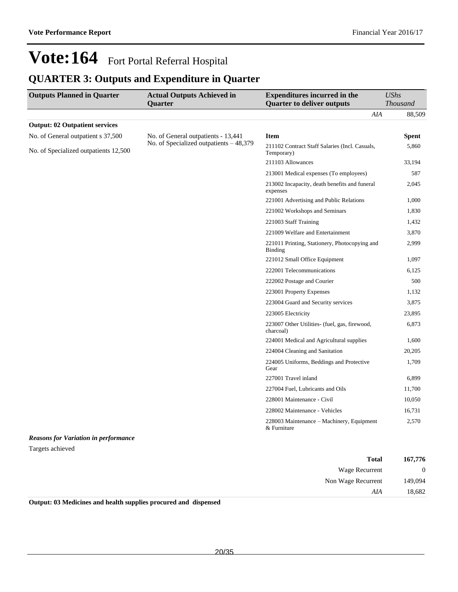### **QUARTER 3: Outputs and Expenditure in Quarter**

| <b>Outputs Planned in Quarter</b>           | <b>Actual Outputs Achieved in</b>       | <b>Expenditures incurred in the</b>                          | <b>UShs</b>     |
|---------------------------------------------|-----------------------------------------|--------------------------------------------------------------|-----------------|
|                                             | <b>Quarter</b>                          | <b>Quarter to deliver outputs</b>                            | <b>Thousand</b> |
|                                             |                                         | AIA                                                          | 88,509          |
| <b>Output: 02 Outpatient services</b>       |                                         |                                                              |                 |
| No. of General outpatient s 37,500          | No. of General outpatients - 13,441     | <b>Item</b>                                                  | <b>Spent</b>    |
| No. of Specialized outpatients 12,500       | No. of Specialized outpatients - 48,379 | 211102 Contract Staff Salaries (Incl. Casuals,<br>Temporary) | 5,860           |
|                                             |                                         | 211103 Allowances                                            | 33,194          |
|                                             |                                         | 213001 Medical expenses (To employees)                       | 587             |
|                                             |                                         | 213002 Incapacity, death benefits and funeral<br>expenses    | 2,045           |
|                                             |                                         | 221001 Advertising and Public Relations                      | 1,000           |
|                                             |                                         | 221002 Workshops and Seminars                                | 1,830           |
|                                             |                                         | 221003 Staff Training                                        | 1,432           |
|                                             |                                         | 221009 Welfare and Entertainment                             | 3,870           |
|                                             |                                         | 221011 Printing, Stationery, Photocopying and<br>Binding     | 2,999           |
|                                             |                                         | 221012 Small Office Equipment                                | 1,097           |
|                                             |                                         | 222001 Telecommunications                                    | 6,125           |
|                                             |                                         | 222002 Postage and Courier                                   | 500             |
|                                             |                                         | 223001 Property Expenses                                     | 1,132           |
|                                             |                                         | 223004 Guard and Security services                           | 3,875           |
|                                             |                                         | 223005 Electricity                                           | 23,895          |
|                                             |                                         | 223007 Other Utilities- (fuel, gas, firewood,<br>charcoal)   | 6,873           |
|                                             |                                         | 224001 Medical and Agricultural supplies                     | 1,600           |
|                                             |                                         | 224004 Cleaning and Sanitation                               | 20,205          |
|                                             |                                         | 224005 Uniforms, Beddings and Protective<br>Gear             | 1,709           |
|                                             |                                         | 227001 Travel inland                                         | 6,899           |
|                                             |                                         | 227004 Fuel, Lubricants and Oils                             | 11,700          |
|                                             |                                         | 228001 Maintenance - Civil                                   | 10,050          |
|                                             |                                         | 228002 Maintenance - Vehicles                                | 16,731          |
|                                             |                                         | 228003 Maintenance – Machinery, Equipment<br>& Furniture     | 2,570           |
| <b>Reasons for Variation in performance</b> |                                         |                                                              |                 |
| Targets achieved                            |                                         |                                                              |                 |

| 167,776        | <b>Total</b>                          |
|----------------|---------------------------------------|
| $\overline{0}$ | Wage Recurrent                        |
| 149,094        | Non Wage Recurrent                    |
| 18,682         | AIA                                   |
|                | $\sim$<br>.<br>_______<br>____<br>___ |

**Output: 03 Medicines and health supplies procured and dispensed**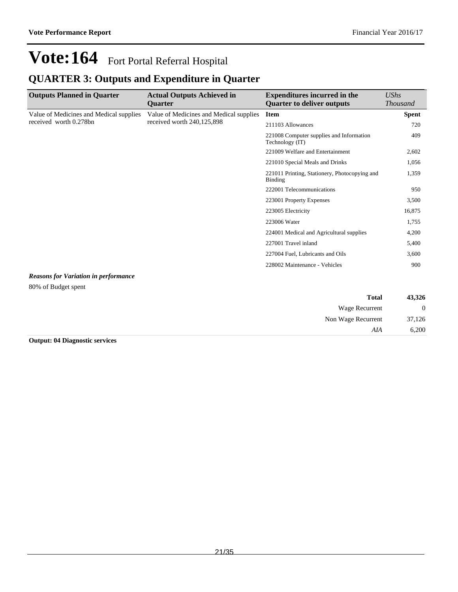### **QUARTER 3: Outputs and Expenditure in Quarter**

| <b>Outputs Planned in Quarter</b>           | <b>Actual Outputs Achieved in</b><br><b>Ouarter</b>                   | <b>Expenditures incurred in the</b><br><b>Ouarter to deliver outputs</b> | UShs<br><b>Thousand</b> |
|---------------------------------------------|-----------------------------------------------------------------------|--------------------------------------------------------------------------|-------------------------|
| Value of Medicines and Medical supplies     | Value of Medicines and Medical supplies<br>received worth 240,125,898 | <b>Item</b>                                                              | <b>Spent</b>            |
| received worth 0.278bn                      |                                                                       | 211103 Allowances                                                        | 720                     |
|                                             |                                                                       | 221008 Computer supplies and Information<br>Technology (IT)              | 409                     |
|                                             |                                                                       | 221009 Welfare and Entertainment                                         | 2,602                   |
|                                             |                                                                       | 221010 Special Meals and Drinks                                          | 1,056                   |
|                                             |                                                                       | 221011 Printing, Stationery, Photocopying and<br>Binding                 | 1,359                   |
|                                             |                                                                       | 222001 Telecommunications                                                | 950                     |
|                                             |                                                                       | 223001 Property Expenses                                                 | 3,500                   |
|                                             |                                                                       | 223005 Electricity                                                       | 16,875                  |
|                                             |                                                                       | 223006 Water                                                             | 1,755                   |
|                                             |                                                                       | 224001 Medical and Agricultural supplies                                 | 4,200                   |
|                                             |                                                                       | 227001 Travel inland                                                     | 5,400                   |
|                                             |                                                                       | 227004 Fuel, Lubricants and Oils                                         | 3,600                   |
|                                             |                                                                       | 228002 Maintenance - Vehicles                                            | 900                     |
| <b>Reasons for Variation in performance</b> |                                                                       |                                                                          |                         |
| 80% of Budget spent                         |                                                                       |                                                                          |                         |

| 43,326           | <b>Total</b>       |
|------------------|--------------------|
| $\boldsymbol{0}$ | Wage Recurrent     |
| 37,126           | Non Wage Recurrent |
| 6,200            | AIA                |

**Output: 04 Diagnostic services**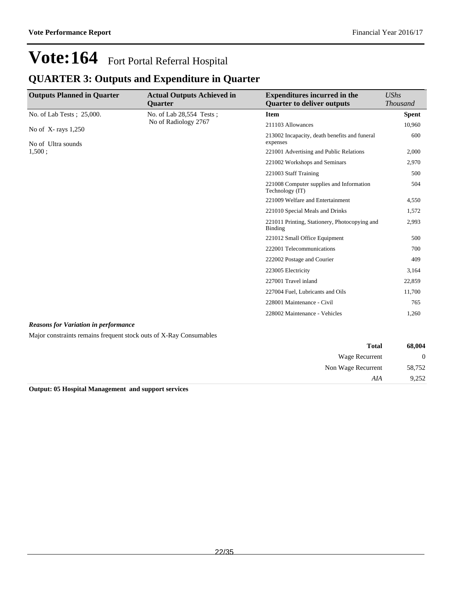### **QUARTER 3: Outputs and Expenditure in Quarter**

| <b>Outputs Planned in Quarter</b> | <b>Actual Outputs Achieved in</b><br><b>Quarter</b> | <b>Expenditures incurred in the</b><br><b>Quarter to deliver outputs</b> | <b>UShs</b><br><b>Thousand</b> |
|-----------------------------------|-----------------------------------------------------|--------------------------------------------------------------------------|--------------------------------|
| No. of Lab Tests; 25,000.         | No. of Lab 28,554 Tests;                            | <b>Item</b>                                                              | <b>Spent</b>                   |
| No of $X$ -rays 1,250             | No of Radiology 2767                                | 211103 Allowances                                                        | 10,960                         |
| No of Ultra sounds                |                                                     | 213002 Incapacity, death benefits and funeral<br>expenses                | 600                            |
| 1,500:                            |                                                     | 221001 Advertising and Public Relations                                  | 2,000                          |
|                                   |                                                     | 221002 Workshops and Seminars                                            | 2,970                          |
|                                   |                                                     | 221003 Staff Training                                                    | 500                            |
|                                   |                                                     | 221008 Computer supplies and Information<br>Technology (IT)              | 504                            |
|                                   |                                                     | 221009 Welfare and Entertainment                                         | 4,550                          |
|                                   |                                                     | 221010 Special Meals and Drinks                                          | 1,572                          |
|                                   |                                                     | 221011 Printing, Stationery, Photocopying and<br>Binding                 | 2,993                          |
|                                   |                                                     | 221012 Small Office Equipment                                            | 500                            |
|                                   |                                                     | 222001 Telecommunications                                                | 700                            |
|                                   |                                                     | 222002 Postage and Courier                                               | 409                            |
|                                   |                                                     | 223005 Electricity                                                       | 3,164                          |
|                                   |                                                     | 227001 Travel inland                                                     | 22,859                         |
|                                   |                                                     | 227004 Fuel, Lubricants and Oils                                         | 11,700                         |
|                                   |                                                     | 228001 Maintenance - Civil                                               | 765                            |
|                                   |                                                     | 228002 Maintenance - Vehicles                                            | 1,260                          |
|                                   |                                                     |                                                                          |                                |

#### *Reasons for Variation in performance*

Major constraints remains frequent stock outs of X-Ray Consumables

| 68,004   | <b>Total</b>       |  |
|----------|--------------------|--|
| $\theta$ | Wage Recurrent     |  |
| 58,752   | Non Wage Recurrent |  |
| 9,252    | AIA                |  |

**Output: 05 Hospital Management and support services**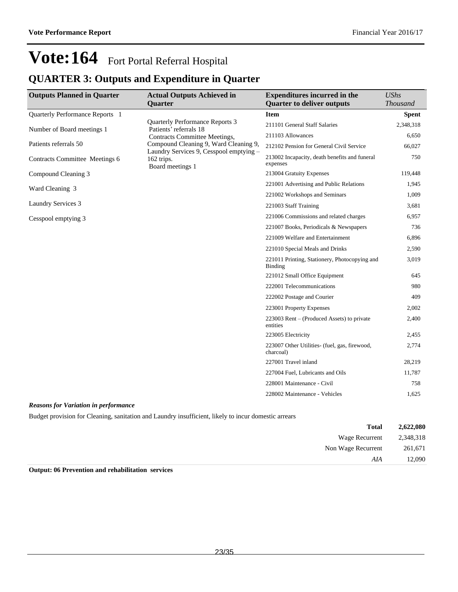### **QUARTER 3: Outputs and Expenditure in Quarter**

| <b>Outputs Planned in Quarter</b> | <b>Actual Outputs Achieved in</b>                                                | <b>Expenditures incurred in the</b>                        | <b>UShs</b>     |
|-----------------------------------|----------------------------------------------------------------------------------|------------------------------------------------------------|-----------------|
|                                   | <b>Quarter</b>                                                                   | <b>Quarter to deliver outputs</b>                          | <b>Thousand</b> |
| Quarterly Performance Reports 1   |                                                                                  | <b>Item</b>                                                | <b>Spent</b>    |
| Number of Board meetings 1        | <b>Quarterly Performance Reports 3</b><br>Patients' referrals 18                 | 211101 General Staff Salaries                              | 2,348,318       |
|                                   | <b>Contracts Committee Meetings,</b>                                             | 211103 Allowances                                          | 6,650           |
| Patients referrals 50             | Compound Cleaning 9, Ward Cleaning 9,<br>Laundry Services 9, Cesspool emptying - | 212102 Pension for General Civil Service                   | 66,027          |
| Contracts Committee Meetings 6    | 162 trips.<br>Board meetings 1                                                   | 213002 Incapacity, death benefits and funeral<br>expenses  | 750             |
| Compound Cleaning 3               |                                                                                  | 213004 Gratuity Expenses                                   | 119,448         |
| Ward Cleaning 3                   |                                                                                  | 221001 Advertising and Public Relations                    | 1,945           |
|                                   |                                                                                  | 221002 Workshops and Seminars                              | 1,009           |
| Laundry Services 3                |                                                                                  | 221003 Staff Training                                      | 3,681           |
| Cesspool emptying 3               |                                                                                  | 221006 Commissions and related charges                     | 6,957           |
|                                   |                                                                                  | 221007 Books, Periodicals & Newspapers                     | 736             |
|                                   |                                                                                  | 221009 Welfare and Entertainment                           | 6,896           |
|                                   |                                                                                  | 221010 Special Meals and Drinks                            | 2,590           |
|                                   |                                                                                  | 221011 Printing, Stationery, Photocopying and<br>Binding   | 3,019           |
|                                   |                                                                                  | 221012 Small Office Equipment                              | 645             |
|                                   |                                                                                  | 222001 Telecommunications                                  | 980             |
|                                   |                                                                                  | 222002 Postage and Courier                                 | 409             |
|                                   |                                                                                  | 223001 Property Expenses                                   | 2,002           |
|                                   |                                                                                  | 223003 Rent $-$ (Produced Assets) to private<br>entities   | 2,400           |
|                                   |                                                                                  | 223005 Electricity                                         | 2,455           |
|                                   |                                                                                  | 223007 Other Utilities- (fuel, gas, firewood,<br>charcoal) | 2,774           |
|                                   |                                                                                  | 227001 Travel inland                                       | 28,219          |
|                                   |                                                                                  | 227004 Fuel, Lubricants and Oils                           | 11,787          |
|                                   |                                                                                  | 228001 Maintenance - Civil                                 | 758             |
|                                   |                                                                                  | 228002 Maintenance - Vehicles                              | 1,625           |

#### *Reasons for Variation in performance*

Budget provision for Cleaning, sanitation and Laundry insufficient, likely to incur domestic arrears

| 2,622,080 | <b>Total</b>          |
|-----------|-----------------------|
| 2,348,318 | <b>Wage Recurrent</b> |
| 261,671   | Non Wage Recurrent    |
| 12,090    | AIA                   |
|           |                       |

#### **Output: 06 Prevention and rehabilitation services**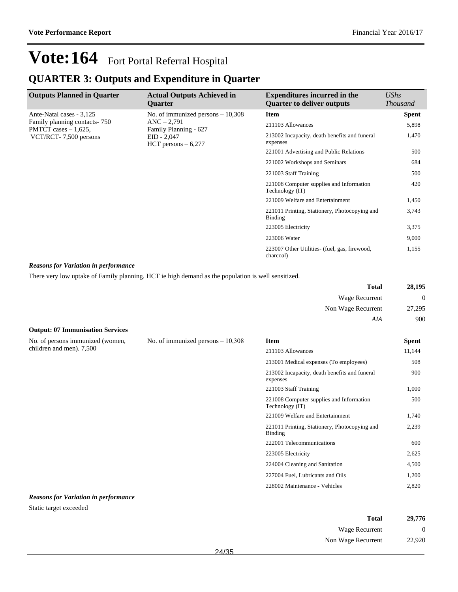### **QUARTER 3: Outputs and Expenditure in Quarter**

| <b>Outputs Planned in Quarter</b>                        | <b>Actual Outputs Achieved in</b><br><b>Ouarter</b>                             | <b>Expenditures incurred in the</b><br><b>Quarter to deliver outputs</b> | UShs<br><b>Thousand</b> |
|----------------------------------------------------------|---------------------------------------------------------------------------------|--------------------------------------------------------------------------|-------------------------|
| Ante-Natal cases - 3,125                                 | No. of immunized persons $-10,308$                                              | <b>Item</b>                                                              | <b>Spent</b>            |
| Family planning contacts - 750<br>PMTCT cases $-1,625$ , | $ANC - 2,791$<br>Family Planning - 627<br>$EID - 2,047$<br>HCT persons $-6,277$ | 211103 Allowances                                                        | 5,898                   |
| VCT/RCT-7,500 persons                                    |                                                                                 | 213002 Incapacity, death benefits and funeral<br>expenses                | 1,470                   |
|                                                          |                                                                                 | 221001 Advertising and Public Relations                                  | 500                     |
|                                                          |                                                                                 | 221002 Workshops and Seminars                                            | 684                     |
|                                                          |                                                                                 | 221003 Staff Training                                                    | 500                     |
|                                                          |                                                                                 | 221008 Computer supplies and Information<br>Technology (IT)              | 420                     |
|                                                          |                                                                                 | 221009 Welfare and Entertainment                                         | 1,450                   |
|                                                          |                                                                                 | 221011 Printing, Stationery, Photocopying and<br>Binding                 | 3,743                   |
|                                                          |                                                                                 | 223005 Electricity                                                       | 3,375                   |
|                                                          |                                                                                 | 223006 Water                                                             | 9,000                   |
|                                                          |                                                                                 | 223007 Other Utilities (fuel, gas, firewood,<br>charcoal)                | 1,155                   |

#### *Reasons for Variation in performance*

There very low uptake of Family planning. HCT ie high demand as the population is well sensitized.

| 28,195   | <b>Total</b>       |
|----------|--------------------|
| $\theta$ | Wage Recurrent     |
| 27,295   | Non Wage Recurrent |
| 900      | AIA                |

| <b>Output: 07 Immunisation Services</b>                      |                                    |                                                             |              |
|--------------------------------------------------------------|------------------------------------|-------------------------------------------------------------|--------------|
| No. of persons immunized (women,<br>children and men). 7,500 | No. of immunized persons $-10,308$ | <b>Item</b>                                                 | <b>Spent</b> |
|                                                              |                                    | 211103 Allowances                                           | 11,144       |
|                                                              |                                    | 213001 Medical expenses (To employees)                      | 508          |
|                                                              |                                    | 213002 Incapacity, death benefits and funeral<br>expenses   | 900          |
|                                                              |                                    | 221003 Staff Training                                       | 1,000        |
|                                                              |                                    | 221008 Computer supplies and Information<br>Technology (IT) | 500          |
|                                                              |                                    | 221009 Welfare and Entertainment                            | 1,740        |
|                                                              |                                    | 221011 Printing, Stationery, Photocopying and<br>Binding    | 2,239        |
|                                                              |                                    | 222001 Telecommunications                                   | 600          |
|                                                              |                                    | 223005 Electricity                                          | 2,625        |
|                                                              |                                    | 224004 Cleaning and Sanitation                              | 4,500        |
|                                                              |                                    | 227004 Fuel, Lubricants and Oils                            | 1,200        |
|                                                              |                                    | 228002 Maintenance - Vehicles                               | 2,820        |

#### *Reasons for Variation in performance*

Static target exceeded

| Total              | 29,776   |
|--------------------|----------|
| Wage Recurrent     | $\Omega$ |
| Non Wage Recurrent | 22,920   |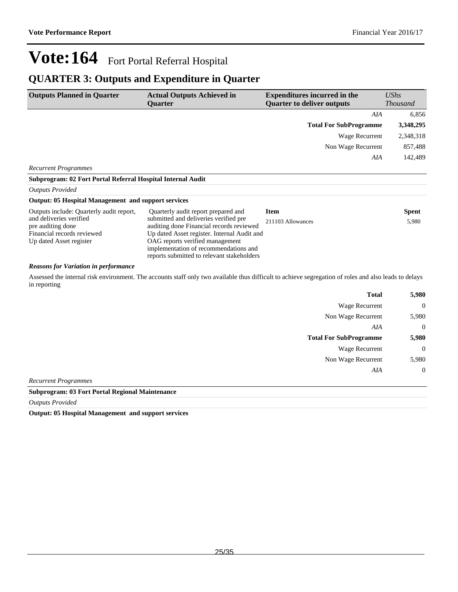### **QUARTER 3: Outputs and Expenditure in Quarter**

| <b>Outputs Planned in Quarter</b>                           | <b>Actual Outputs Achieved in</b><br><b>Ouarter</b> | <b>Expenditures incurred in the</b><br><b>Ouarter to deliver outputs</b> | $\mathit{UShs}$<br><b>Thousand</b> |  |
|-------------------------------------------------------------|-----------------------------------------------------|--------------------------------------------------------------------------|------------------------------------|--|
|                                                             |                                                     | AIA                                                                      | 6,856                              |  |
|                                                             |                                                     | <b>Total For SubProgramme</b>                                            | 3,348,295                          |  |
|                                                             |                                                     | Wage Recurrent                                                           | 2,348,318                          |  |
|                                                             |                                                     | Non Wage Recurrent                                                       | 857,488                            |  |
|                                                             |                                                     | AIA                                                                      | 142,489                            |  |
| <b>Recurrent Programmes</b>                                 |                                                     |                                                                          |                                    |  |
| Subprogram: 02 Fort Portal Referral Hospital Internal Audit |                                                     |                                                                          |                                    |  |

#### *Outputs Provided*

| <b>Output: 05 Hospital Management and support services</b> |                                             |                   |              |
|------------------------------------------------------------|---------------------------------------------|-------------------|--------------|
| Outputs include: Quarterly audit report,                   | Quarterly audit report prepared and         | <b>Item</b>       | <b>Spent</b> |
| and deliveries verified                                    | submitted and deliveries verified pre       | 211103 Allowances | 5.980        |
| pre auditing done                                          | auditing done Financial records reviewed    |                   |              |
| Financial records reviewed                                 | Up dated Asset register. Internal Audit and |                   |              |
| Up dated Asset register                                    | OAG reports verified management             |                   |              |
|                                                            | implementation of recommendations and       |                   |              |
|                                                            | reports submitted to relevant stakeholders  |                   |              |

#### *Reasons for Variation in performance*

Assessed the internal risk environment. The accounts staff only two available thus difficult to achieve segregation of roles and also leads to delays in reporting

|                               | <b>Total</b> | 5,980            |
|-------------------------------|--------------|------------------|
| <b>Wage Recurrent</b>         |              | $\mathbf 0$      |
| Non Wage Recurrent            |              | 5,980            |
|                               | AIA          | $\theta$         |
| <b>Total For SubProgramme</b> |              | 5,980            |
| <b>Wage Recurrent</b>         |              | $\mathbf 0$      |
| Non Wage Recurrent            |              | 5,980            |
|                               | AIA          | $\boldsymbol{0}$ |
|                               |              |                  |

*Recurrent Programmes*

#### **Subprogram: 03 Fort Portal Regional Maintenance**

*Outputs Provided*

**Output: 05 Hospital Management and support services**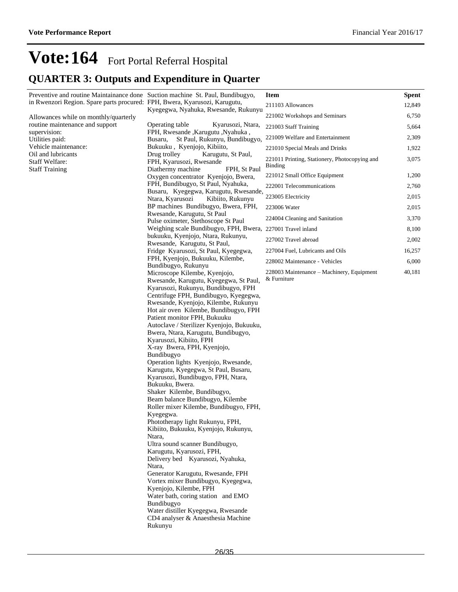## **Vote:164** Fort Portal Referral Hospital **QUARTER 3: Outputs and Expenditure in Quarter**

| Preventive and routine Maintainance done Suction machine St. Paul, Bundibugyo, |                                                                                                    | <b>Item</b>                                   | <b>Spent</b> |
|--------------------------------------------------------------------------------|----------------------------------------------------------------------------------------------------|-----------------------------------------------|--------------|
| in Rwenzori Region. Spare parts procured: FPH, Bwera, Kyarusozi, Karugutu,     |                                                                                                    | 211103 Allowances                             | 12,849       |
| Allowances while on monthly/quarterly                                          | Kyegegwa, Nyahuka, Rwesande, Rukunyu                                                               | 221002 Workshops and Seminars                 | 6,750        |
| routine maintenance and support                                                | Operating table<br>Kyarusozi, Ntara,                                                               | 221003 Staff Training                         | 5,664        |
| supervision:<br>Utilities paid:                                                | FPH, Rwesande , Karugutu , Nyahuka,<br>St Paul, Rukunyu, Bundibugyo,<br>Busaru,                    | 221009 Welfare and Entertainment              | 2,309        |
| Vehicle maintenance:                                                           | Bukuuku, Kyenjojo, Kibiito,                                                                        | 221010 Special Meals and Drinks               | 1,922        |
| Oil and lubricants                                                             | Drug trolley<br>Karugutu, St Paul,                                                                 | 221011 Printing, Stationery, Photocopying and | 3,075        |
| <b>Staff Welfare:</b><br><b>Staff Training</b>                                 | FPH, Kyarusozi, Rwesande<br>Diathermy machine<br>FPH, St Paul                                      | Binding                                       |              |
|                                                                                | Oxygen concentrator Kyenjojo, Bwera,                                                               | 221012 Small Office Equipment                 | 1,200        |
|                                                                                | FPH, Bundibugyo, St Paul, Nyahuka,                                                                 | 222001 Telecommunications                     | 2,760        |
|                                                                                | Busaru, Kyegegwa, Karugutu, Rwesande,<br>Ntara, Kyarusozi<br>Kibiito, Rukunyu                      | 223005 Electricity                            | 2,015        |
|                                                                                | BP machines Bundibugyo, Bwera, FPH,                                                                | 223006 Water                                  | 2,015        |
|                                                                                | Rwesande, Karugutu, St Paul                                                                        | 224004 Cleaning and Sanitation                | 3,370        |
|                                                                                | Pulse oximeter, Stethoscope St Paul<br>Weighing scale Bundibugyo, FPH, Bwera, 227001 Travel inland |                                               | 8,100        |
|                                                                                | bukuuku, Kyenjojo, Ntara, Rukunyu,                                                                 | 227002 Travel abroad                          | 2,002        |
|                                                                                | Rwesande, Karugutu, St Paul,                                                                       |                                               |              |
|                                                                                | Fridge Kyarusozi, St Paul, Kyegegwa,<br>FPH, Kyenjojo, Bukuuku, Kilembe,                           | 227004 Fuel, Lubricants and Oils              | 16,257       |
|                                                                                | Bundibugyo, Rukunyu                                                                                | 228002 Maintenance - Vehicles                 | 6,000        |
|                                                                                | Microscope Kilembe, Kyenjojo,                                                                      | 228003 Maintenance – Machinery, Equipment     | 40,181       |
|                                                                                | Rwesande, Karugutu, Kyegegwa, St Paul,                                                             | & Furniture                                   |              |
|                                                                                | Kyarusozi, Rukunyu, Bundibugyo, FPH<br>Centrifuge FPH, Bundibugyo, Kyegegwa,                       |                                               |              |
|                                                                                | Rwesande, Kyenjojo, Kilembe, Rukunyu                                                               |                                               |              |
|                                                                                | Hot air oven Kilembe, Bundibugyo, FPH                                                              |                                               |              |
|                                                                                | Patient monitor FPH, Bukuuku                                                                       |                                               |              |
|                                                                                | Autoclave / Sterilizer Kyenjojo, Bukuuku,<br>Bwera, Ntara, Karugutu, Bundibugyo,                   |                                               |              |
|                                                                                | Kyarusozi, Kibiito, FPH                                                                            |                                               |              |
|                                                                                | X-ray Bwera, FPH, Kyenjojo,                                                                        |                                               |              |
|                                                                                | Bundibugyo                                                                                         |                                               |              |
|                                                                                | Operation lights Kyenjojo, Rwesande,                                                               |                                               |              |
|                                                                                | Karugutu, Kyegegwa, St Paul, Busaru,<br>Kyarusozi, Bundibugyo, FPH, Ntara,                         |                                               |              |
|                                                                                | Bukuuku, Bwera.                                                                                    |                                               |              |
|                                                                                | Shaker Kilembe, Bundibugyo,                                                                        |                                               |              |
|                                                                                | Beam balance Bundibugyo, Kilembe                                                                   |                                               |              |
|                                                                                | Roller mixer Kilembe, Bundibugyo, FPH,<br>Kyegegwa.                                                |                                               |              |
|                                                                                | Phototherapy light Rukunyu, FPH,                                                                   |                                               |              |
|                                                                                | Kibiito, Bukuuku, Kyenjojo, Rukunyu,                                                               |                                               |              |
|                                                                                | Ntara,                                                                                             |                                               |              |
|                                                                                | Ultra sound scanner Bundibugyo,                                                                    |                                               |              |
|                                                                                | Karugutu, Kyarusozi, FPH,<br>Delivery bed Kyarusozi, Nyahuka,                                      |                                               |              |
|                                                                                | Ntara,                                                                                             |                                               |              |
|                                                                                | Generator Karugutu, Rwesande, FPH                                                                  |                                               |              |
|                                                                                | Vortex mixer Bundibugyo, Kyegegwa,                                                                 |                                               |              |
|                                                                                | Kyenjojo, Kilembe, FPH                                                                             |                                               |              |
|                                                                                | Water bath, coring station and EMO<br>Bundibugyo                                                   |                                               |              |
|                                                                                | Water distiller Kyegegwa, Rwesande                                                                 |                                               |              |
|                                                                                | CD4 analyser & Anaesthesia Machine                                                                 |                                               |              |
|                                                                                | Rukunyu                                                                                            |                                               |              |
|                                                                                |                                                                                                    |                                               |              |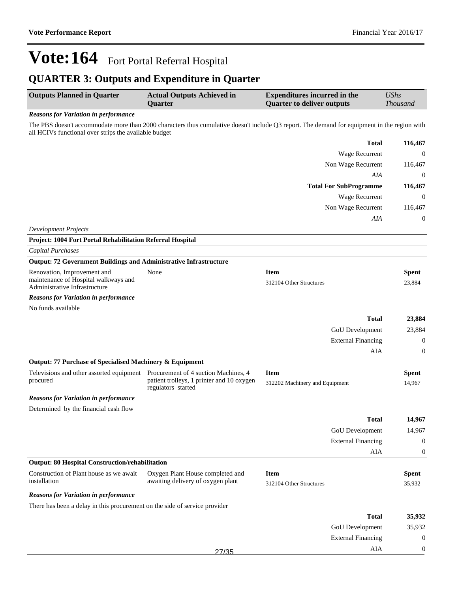External Financing 0

AIA 0

# **Vote:164** Fort Portal Referral Hospital

### **QUARTER 3: Outputs and Expenditure in Quarter**

| <b>Outputs Planned in Quarter</b>                                             | <b>Actual Outputs Achieved in</b><br>Quarter                          | <b>Expenditures incurred in the</b><br><b>Quarter to deliver outputs</b>                                                                     | <b>UShs</b><br><b>Thousand</b> |
|-------------------------------------------------------------------------------|-----------------------------------------------------------------------|----------------------------------------------------------------------------------------------------------------------------------------------|--------------------------------|
| <b>Reasons for Variation in performance</b>                                   |                                                                       |                                                                                                                                              |                                |
| all HCIVs functional over strips the available budget                         |                                                                       | The PBS doesn't accommodate more than 2000 characters thus cumulative doesn't include Q3 report. The demand for equipment in the region with |                                |
|                                                                               |                                                                       | <b>Total</b>                                                                                                                                 | 116,467                        |
|                                                                               |                                                                       | Wage Recurrent                                                                                                                               | $\boldsymbol{0}$               |
|                                                                               |                                                                       | Non Wage Recurrent                                                                                                                           | 116,467                        |
|                                                                               |                                                                       | AIA                                                                                                                                          | $\boldsymbol{0}$               |
|                                                                               |                                                                       | <b>Total For SubProgramme</b>                                                                                                                | 116,467                        |
|                                                                               |                                                                       | Wage Recurrent                                                                                                                               | $\boldsymbol{0}$               |
|                                                                               |                                                                       | Non Wage Recurrent                                                                                                                           | 116,467                        |
|                                                                               |                                                                       | AIA                                                                                                                                          | $\boldsymbol{0}$               |
| <b>Development Projects</b>                                                   |                                                                       |                                                                                                                                              |                                |
| Project: 1004 Fort Portal Rehabilitation Referral Hospital                    |                                                                       |                                                                                                                                              |                                |
| Capital Purchases                                                             |                                                                       |                                                                                                                                              |                                |
| <b>Output: 72 Government Buildings and Administrative Infrastructure</b>      |                                                                       |                                                                                                                                              |                                |
| Renovation, Improvement and                                                   | None                                                                  | <b>Item</b>                                                                                                                                  | <b>Spent</b>                   |
| maintenance of Hospital walkways and<br>Administrative Infrastructure         |                                                                       | 312104 Other Structures                                                                                                                      | 23,884                         |
| <b>Reasons for Variation in performance</b>                                   |                                                                       |                                                                                                                                              |                                |
| No funds available                                                            |                                                                       |                                                                                                                                              |                                |
|                                                                               |                                                                       | <b>Total</b>                                                                                                                                 | 23,884                         |
|                                                                               |                                                                       | GoU Development                                                                                                                              | 23,884                         |
|                                                                               |                                                                       | <b>External Financing</b>                                                                                                                    | $\boldsymbol{0}$               |
|                                                                               |                                                                       | AIA                                                                                                                                          | $\boldsymbol{0}$               |
| Output: 77 Purchase of Specialised Machinery & Equipment                      |                                                                       |                                                                                                                                              |                                |
| Televisions and other assorted equipment Procurement of 4 suction Machines, 4 |                                                                       | <b>Item</b>                                                                                                                                  | <b>Spent</b>                   |
| procured                                                                      | patient trolleys, 1 printer and 10 oxygen<br>regulators started       | 312202 Machinery and Equipment                                                                                                               | 14,967                         |
| <b>Reasons for Variation in performance</b>                                   |                                                                       |                                                                                                                                              |                                |
| Determined by the financial cash flow                                         |                                                                       |                                                                                                                                              |                                |
|                                                                               |                                                                       | <b>Total</b>                                                                                                                                 | 14,967                         |
|                                                                               |                                                                       | GoU Development                                                                                                                              | 14,967                         |
|                                                                               |                                                                       | <b>External Financing</b>                                                                                                                    | $\theta$                       |
|                                                                               |                                                                       | AIA                                                                                                                                          | $\boldsymbol{0}$               |
| <b>Output: 80 Hospital Construction/rehabilitation</b>                        |                                                                       |                                                                                                                                              |                                |
| Construction of Plant house as we await<br>installation                       | Oxygen Plant House completed and<br>awaiting delivery of oxygen plant | <b>Item</b><br>312104 Other Structures                                                                                                       | <b>Spent</b><br>35,932         |
| <b>Reasons for Variation in performance</b>                                   |                                                                       |                                                                                                                                              |                                |
| There has been a delay in this procurement on the side of service provider    |                                                                       |                                                                                                                                              |                                |
|                                                                               |                                                                       | <b>Total</b>                                                                                                                                 | 35,932                         |
|                                                                               |                                                                       | GoU Development                                                                                                                              | 35,932                         |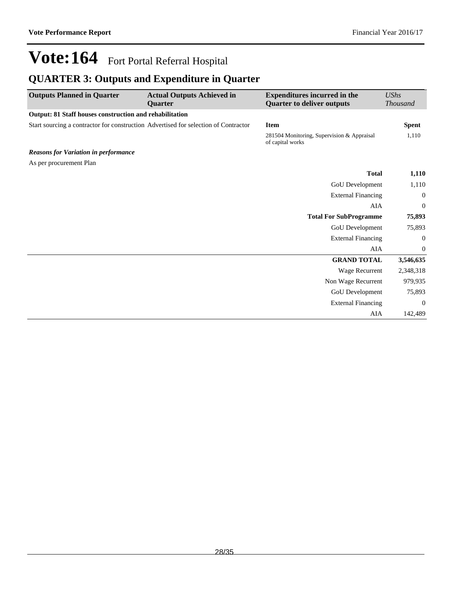### **QUARTER 3: Outputs and Expenditure in Quarter**

| <b>Outputs Planned in Quarter</b>                                                   | <b>Actual Outputs Achieved in</b><br><b>Ouarter</b> | <b>Expenditures incurred in the</b><br><b>Quarter to deliver outputs</b> | <b>UShs</b><br><b>Thousand</b> |
|-------------------------------------------------------------------------------------|-----------------------------------------------------|--------------------------------------------------------------------------|--------------------------------|
| Output: 81 Staff houses construction and rehabilitation                             |                                                     |                                                                          |                                |
| Start sourcing a contractor for construction Advertised for selection of Contractor |                                                     | <b>Item</b>                                                              | <b>Spent</b>                   |
|                                                                                     |                                                     | 281504 Monitoring, Supervision & Appraisal<br>of capital works           | 1,110                          |
| <b>Reasons for Variation in performance</b>                                         |                                                     |                                                                          |                                |
| As per procurement Plan                                                             |                                                     |                                                                          |                                |
|                                                                                     |                                                     | <b>Total</b>                                                             | 1,110                          |
|                                                                                     |                                                     | GoU Development                                                          | 1,110                          |
|                                                                                     |                                                     | <b>External Financing</b>                                                | $\mathbf{0}$                   |
|                                                                                     |                                                     | AIA                                                                      | $\boldsymbol{0}$               |
|                                                                                     |                                                     | <b>Total For SubProgramme</b>                                            | 75,893                         |
|                                                                                     |                                                     | <b>GoU</b> Development                                                   | 75,893                         |
|                                                                                     |                                                     | <b>External Financing</b>                                                | $\mathbf{0}$                   |
|                                                                                     |                                                     | AIA                                                                      | $\mathbf{0}$                   |
|                                                                                     |                                                     | <b>GRAND TOTAL</b>                                                       | 3,546,635                      |
|                                                                                     |                                                     | Wage Recurrent                                                           | 2,348,318                      |
|                                                                                     |                                                     | Non Wage Recurrent                                                       | 979,935                        |
|                                                                                     |                                                     | GoU Development                                                          | 75,893                         |
|                                                                                     |                                                     | <b>External Financing</b>                                                | $\boldsymbol{0}$               |
|                                                                                     |                                                     | AIA                                                                      | 142,489                        |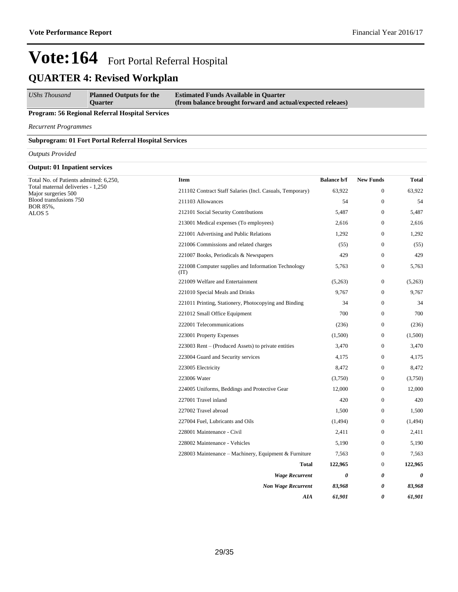### **QUARTER 4: Revised Workplan**

*UShs Thousand* **Planned Outputs for the Quarter Estimated Funds Available in Quarter (from balance brought forward and actual/expected releaes)**

#### **Program: 56 Regional Referral Hospital Services**

*Recurrent Programmes*

**Subprogram: 01 Fort Portal Referral Hospital Services**

#### *Outputs Provided*

#### **Output: 01 Inpatient services**

| Total No. of Patients admitted: 6,250,                   | <b>Item</b>                                                 | <b>Balance b/f</b> | <b>New Funds</b> | <b>Total</b>          |
|----------------------------------------------------------|-------------------------------------------------------------|--------------------|------------------|-----------------------|
| Total maternal deliveries - 1,250<br>Major surgeries 500 | 211102 Contract Staff Salaries (Incl. Casuals, Temporary)   | 63,922             | $\mathbf{0}$     | 63,922                |
| Blood transfusions 750<br>BOR 85%,                       | 211103 Allowances                                           | 54                 | $\boldsymbol{0}$ | 54                    |
| ALOS <sub>5</sub>                                        | 212101 Social Security Contributions                        | 5,487              | $\boldsymbol{0}$ | 5,487                 |
|                                                          | 213001 Medical expenses (To employees)                      | 2,616              | $\boldsymbol{0}$ | 2,616                 |
|                                                          | 221001 Advertising and Public Relations                     | 1,292              | $\boldsymbol{0}$ | 1,292                 |
|                                                          | 221006 Commissions and related charges                      | (55)               | $\boldsymbol{0}$ | (55)                  |
|                                                          | 221007 Books, Periodicals & Newspapers                      | 429                | $\mathbf{0}$     | 429                   |
|                                                          | 221008 Computer supplies and Information Technology<br>(TT) | 5,763              | $\boldsymbol{0}$ | 5,763                 |
|                                                          | 221009 Welfare and Entertainment                            | (5,263)            | $\boldsymbol{0}$ | (5,263)               |
|                                                          | 221010 Special Meals and Drinks                             | 9,767              | $\boldsymbol{0}$ | 9,767                 |
|                                                          | 221011 Printing, Stationery, Photocopying and Binding       | 34                 | $\mathbf{0}$     | 34                    |
|                                                          | 221012 Small Office Equipment                               | 700                | $\boldsymbol{0}$ | 700                   |
|                                                          | 222001 Telecommunications                                   | (236)              | $\boldsymbol{0}$ | (236)                 |
|                                                          | 223001 Property Expenses                                    | (1,500)            | $\boldsymbol{0}$ | (1,500)               |
|                                                          | 223003 Rent - (Produced Assets) to private entities         | 3,470              | $\boldsymbol{0}$ | 3,470                 |
|                                                          | 223004 Guard and Security services                          | 4,175              | $\boldsymbol{0}$ | 4,175                 |
|                                                          | 223005 Electricity                                          | 8,472              | $\mathbf{0}$     | 8,472                 |
|                                                          | 223006 Water                                                | (3,750)            | $\boldsymbol{0}$ | (3,750)               |
|                                                          | 224005 Uniforms, Beddings and Protective Gear               | 12,000             | $\mathbf{0}$     | 12,000                |
|                                                          | 227001 Travel inland                                        | 420                | $\boldsymbol{0}$ | 420                   |
|                                                          | 227002 Travel abroad                                        | 1,500              | $\boldsymbol{0}$ | 1,500                 |
|                                                          | 227004 Fuel, Lubricants and Oils                            | (1,494)            | $\boldsymbol{0}$ | (1, 494)              |
|                                                          | 228001 Maintenance - Civil                                  | 2,411              | $\boldsymbol{0}$ | 2,411                 |
|                                                          | 228002 Maintenance - Vehicles                               | 5,190              | $\boldsymbol{0}$ | 5,190                 |
|                                                          | 228003 Maintenance - Machinery, Equipment & Furniture       | 7,563              | $\boldsymbol{0}$ | 7,563                 |
|                                                          | Total                                                       | 122,965            | $\boldsymbol{0}$ | 122,965               |
|                                                          | <b>Wage Recurrent</b>                                       | 0                  | 0                | $\boldsymbol{\theta}$ |
|                                                          | <b>Non Wage Recurrent</b>                                   | 83,968             | 0                | 83,968                |
|                                                          | AIA                                                         | 61,901             | 0                | 61,901                |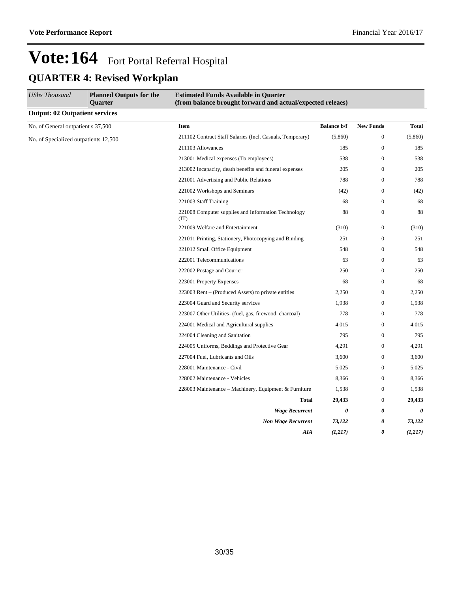| <b>UShs Thousand</b>                  | <b>Planned Outputs for the</b><br><b>Quarter</b> | <b>Estimated Funds Available in Quarter</b><br>(from balance brought forward and actual/expected releaes) |                    |                  |              |
|---------------------------------------|--------------------------------------------------|-----------------------------------------------------------------------------------------------------------|--------------------|------------------|--------------|
| <b>Output: 02 Outpatient services</b> |                                                  |                                                                                                           |                    |                  |              |
| No. of General outpatient s 37,500    |                                                  | Item                                                                                                      | <b>Balance b/f</b> | <b>New Funds</b> | <b>Total</b> |
| No. of Specialized outpatients 12,500 |                                                  | 211102 Contract Staff Salaries (Incl. Casuals, Temporary)                                                 | (5,860)            | $\boldsymbol{0}$ | (5,860)      |
|                                       |                                                  | 211103 Allowances                                                                                         | 185                | $\boldsymbol{0}$ | 185          |
|                                       |                                                  | 213001 Medical expenses (To employees)                                                                    | 538                | $\mathbf{0}$     | 538          |
|                                       |                                                  | 213002 Incapacity, death benefits and funeral expenses                                                    | 205                | $\mathbf{0}$     | 205          |
|                                       |                                                  | 221001 Advertising and Public Relations                                                                   | 788                | $\mathbf{0}$     | 788          |
|                                       |                                                  | 221002 Workshops and Seminars                                                                             | (42)               | $\mathbf{0}$     | (42)         |
|                                       |                                                  | 221003 Staff Training                                                                                     | 68                 | $\mathbf{0}$     | 68           |
|                                       |                                                  | 221008 Computer supplies and Information Technology<br>(TT)                                               | 88                 | $\boldsymbol{0}$ | 88           |
|                                       |                                                  | 221009 Welfare and Entertainment                                                                          | (310)              | $\mathbf{0}$     | (310)        |
|                                       |                                                  | 221011 Printing, Stationery, Photocopying and Binding                                                     | 251                | $\boldsymbol{0}$ | 251          |
|                                       |                                                  | 221012 Small Office Equipment                                                                             | 548                | $\boldsymbol{0}$ | 548          |
|                                       |                                                  | 222001 Telecommunications                                                                                 | 63                 | $\mathbf{0}$     | 63           |
|                                       |                                                  | 222002 Postage and Courier                                                                                | 250                | $\mathbf{0}$     | 250          |
|                                       |                                                  | 223001 Property Expenses                                                                                  | 68                 | $\mathbf{0}$     | 68           |
|                                       |                                                  | 223003 Rent – (Produced Assets) to private entities                                                       | 2,250              | $\boldsymbol{0}$ | 2,250        |
|                                       |                                                  | 223004 Guard and Security services                                                                        | 1,938              | $\boldsymbol{0}$ | 1,938        |
|                                       |                                                  | 223007 Other Utilities- (fuel, gas, firewood, charcoal)                                                   | 778                | $\mathbf{0}$     | 778          |
|                                       |                                                  | 224001 Medical and Agricultural supplies                                                                  | 4,015              | $\bf{0}$         | 4,015        |
|                                       |                                                  | 224004 Cleaning and Sanitation                                                                            | 795                | $\boldsymbol{0}$ | 795          |
|                                       |                                                  | 224005 Uniforms, Beddings and Protective Gear                                                             | 4,291              | $\Omega$         | 4,291        |
|                                       |                                                  | 227004 Fuel, Lubricants and Oils                                                                          | 3,600              | $\mathbf{0}$     | 3,600        |
|                                       |                                                  | 228001 Maintenance - Civil                                                                                | 5,025              | $\bf{0}$         | 5,025        |
|                                       |                                                  | 228002 Maintenance - Vehicles                                                                             | 8,366              | $\boldsymbol{0}$ | 8,366        |
|                                       |                                                  | 228003 Maintenance – Machinery, Equipment & Furniture                                                     | 1,538              | $\mathbf{0}$     | 1,538        |
|                                       |                                                  | <b>Total</b>                                                                                              | 29,433             | $\mathbf{0}$     | 29,433       |
|                                       |                                                  | <b>Wage Recurrent</b>                                                                                     | 0                  | 0                | 0            |
|                                       |                                                  | <b>Non Wage Recurrent</b>                                                                                 | 73,122             | 0                | 73,122       |
|                                       |                                                  | AIA                                                                                                       | (1,217)            | 0                | (1, 217)     |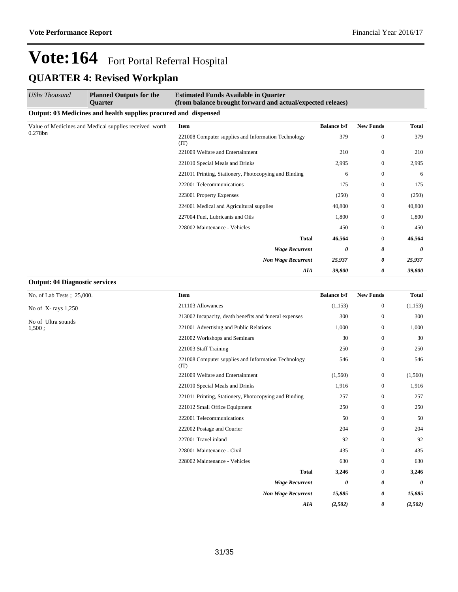| <b>UShs Thousand</b><br><b>Planned Outputs for the</b><br><b>Ouarter</b> | <b>Estimated Funds Available in Quarter</b><br>(from balance brought forward and actual/expected releaes) |                    |                  |        |
|--------------------------------------------------------------------------|-----------------------------------------------------------------------------------------------------------|--------------------|------------------|--------|
| Output: 03 Medicines and health supplies procured and dispensed          |                                                                                                           |                    |                  |        |
| Value of Medicines and Medical supplies received worth                   | <b>Item</b>                                                                                               | <b>Balance b/f</b> | <b>New Funds</b> | Total  |
| 0.278bn                                                                  | 221008 Computer supplies and Information Technology<br>(TT)                                               | 379                | $\boldsymbol{0}$ | 379    |
|                                                                          | 221009 Welfare and Entertainment                                                                          | 210                | $\boldsymbol{0}$ | 210    |
|                                                                          | 221010 Special Meals and Drinks                                                                           | 2,995              | $\mathbf{0}$     | 2,995  |
|                                                                          | 221011 Printing, Stationery, Photocopying and Binding                                                     | 6                  | $\boldsymbol{0}$ | 6      |
|                                                                          | 222001 Telecommunications                                                                                 | 175                | $\boldsymbol{0}$ | 175    |
|                                                                          | 223001 Property Expenses                                                                                  | (250)              | $\mathbf{0}$     | (250)  |
|                                                                          | 224001 Medical and Agricultural supplies                                                                  | 40,800             | $\mathbf{0}$     | 40,800 |
|                                                                          | 227004 Fuel, Lubricants and Oils                                                                          | 1,800              | $\mathbf{0}$     | 1,800  |
|                                                                          | 228002 Maintenance - Vehicles                                                                             | 450                | $\boldsymbol{0}$ | 450    |
|                                                                          | <b>Total</b>                                                                                              | 46,564             | $\mathbf{0}$     | 46,564 |
|                                                                          | <b>Wage Recurrent</b>                                                                                     | 0                  | 0                | 0      |
|                                                                          | <b>Non Wage Recurrent</b>                                                                                 | 25,937             | 0                | 25,937 |
|                                                                          | <b>AIA</b>                                                                                                | 39,800             | 0                | 39,800 |

#### **Output: 04 Diagnostic services**

No. of Lab Tests ; 25,000.

No of X- rays 1,250

No of Ultra sounds 1,500 ;

| <b>Item</b>                                                 | <b>Balance b/f</b> | <b>New Funds</b> | <b>Total</b> |
|-------------------------------------------------------------|--------------------|------------------|--------------|
| 211103 Allowances                                           | (1, 153)           | $\mathbf{0}$     | (1, 153)     |
| 213002 Incapacity, death benefits and funeral expenses      | 300                | $\mathbf{0}$     | 300          |
| 221001 Advertising and Public Relations                     | 1,000              | $\Omega$         | 1,000        |
| 221002 Workshops and Seminars                               | 30                 | $\Omega$         | 30           |
| 221003 Staff Training                                       | 250                | $\Omega$         | 250          |
| 221008 Computer supplies and Information Technology<br>(TT) | 546                | $\mathbf{0}$     | 546          |
| 221009 Welfare and Entertainment                            | (1,560)            | $\mathbf{0}$     | (1, 560)     |
| 221010 Special Meals and Drinks                             | 1,916              | $\mathbf{0}$     | 1,916        |
| 221011 Printing, Stationery, Photocopying and Binding       | 257                | $\Omega$         | 257          |
| 221012 Small Office Equipment                               | 250                | $\Omega$         | 250          |
| 222001 Telecommunications                                   | 50                 | $\mathbf{0}$     | 50           |
| 222002 Postage and Courier                                  | 204                | $\Omega$         | 204          |
| 227001 Travel inland                                        | 92                 | $\mathbf{0}$     | 92           |
| 228001 Maintenance - Civil                                  | 435                | $\Omega$         | 435          |
| 228002 Maintenance - Vehicles                               | 630                | $\Omega$         | 630          |
| <b>Total</b>                                                | 3,246              | $\Omega$         | 3,246        |
| <b>Wage Recurrent</b>                                       | 0                  | 0                | 0            |
| <b>Non Wage Recurrent</b>                                   | 15,885             | 0                | 15,885       |
| <b>AIA</b>                                                  | (2,502)            | 0                | (2,502)      |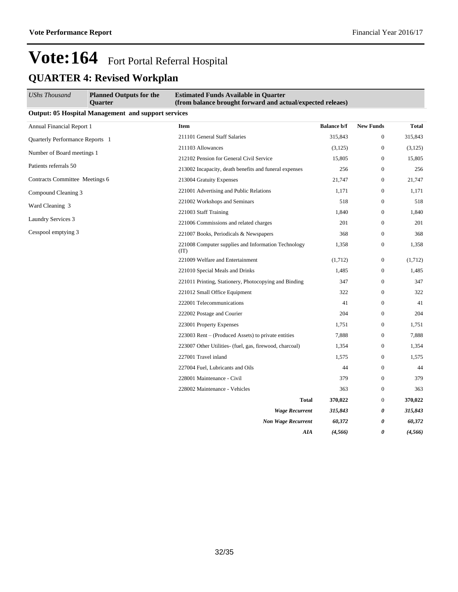| UShs Thousand                    | <b>Planned Outputs for the</b><br><b>Ouarter</b>           | <b>Estimated Funds Available in Quarter</b><br>(from balance brought forward and actual/expected releaes) |                    |                  |          |
|----------------------------------|------------------------------------------------------------|-----------------------------------------------------------------------------------------------------------|--------------------|------------------|----------|
|                                  | <b>Output: 05 Hospital Management and support services</b> |                                                                                                           |                    |                  |          |
| <b>Annual Financial Report 1</b> |                                                            | Item                                                                                                      | <b>Balance b/f</b> | <b>New Funds</b> | Total    |
| Quarterly Performance Reports 1  |                                                            | 211101 General Staff Salaries                                                                             | 315,843            | $\boldsymbol{0}$ | 315,843  |
|                                  |                                                            | 211103 Allowances                                                                                         | (3,125)            | $\boldsymbol{0}$ | (3, 125) |
| Number of Board meetings 1       |                                                            | 212102 Pension for General Civil Service                                                                  | 15,805             | $\boldsymbol{0}$ | 15,805   |
| Patients referrals 50            |                                                            | 213002 Incapacity, death benefits and funeral expenses                                                    | 256                | $\mathbf{0}$     | 256      |
| Contracts Committee Meetings 6   |                                                            | 213004 Gratuity Expenses                                                                                  | 21,747             | $\mathbf{0}$     | 21,747   |
| Compound Cleaning 3              |                                                            | 221001 Advertising and Public Relations                                                                   | 1,171              | $\boldsymbol{0}$ | 1,171    |
| Ward Cleaning 3                  |                                                            | 221002 Workshops and Seminars                                                                             | 518                | $\boldsymbol{0}$ | 518      |
|                                  |                                                            | 221003 Staff Training                                                                                     | 1,840              | $\mathbf{0}$     | 1,840    |
| <b>Laundry Services 3</b>        |                                                            | 221006 Commissions and related charges                                                                    | 201                | $\boldsymbol{0}$ | 201      |
| Cesspool emptying 3              |                                                            | 221007 Books, Periodicals & Newspapers                                                                    | 368                | $\boldsymbol{0}$ | 368      |
|                                  |                                                            | 221008 Computer supplies and Information Technology<br>(TT)                                               | 1,358              | $\mathbf{0}$     | 1,358    |
|                                  |                                                            | 221009 Welfare and Entertainment                                                                          | (1,712)            | $\boldsymbol{0}$ | (1,712)  |
|                                  |                                                            | 221010 Special Meals and Drinks                                                                           | 1,485              | $\mathbf{0}$     | 1,485    |
|                                  |                                                            | 221011 Printing, Stationery, Photocopying and Binding                                                     | 347                | $\mathbf{0}$     | 347      |
|                                  |                                                            | 221012 Small Office Equipment                                                                             | 322                | $\boldsymbol{0}$ | 322      |
|                                  |                                                            | 222001 Telecommunications                                                                                 | 41                 | $\boldsymbol{0}$ | 41       |
|                                  |                                                            | 222002 Postage and Courier                                                                                | 204                | $\mathbf{0}$     | 204      |
|                                  |                                                            | 223001 Property Expenses                                                                                  | 1,751              | $\boldsymbol{0}$ | 1,751    |
|                                  |                                                            | 223003 Rent – (Produced Assets) to private entities                                                       | 7,888              | $\boldsymbol{0}$ | 7,888    |
|                                  |                                                            | 223007 Other Utilities- (fuel, gas, firewood, charcoal)                                                   | 1,354              | $\mathbf{0}$     | 1,354    |
|                                  |                                                            | 227001 Travel inland                                                                                      | 1,575              | $\mathbf{0}$     | 1,575    |
|                                  |                                                            | 227004 Fuel, Lubricants and Oils                                                                          | 44                 | $\boldsymbol{0}$ | 44       |
|                                  |                                                            | 228001 Maintenance - Civil                                                                                | 379                | $\boldsymbol{0}$ | 379      |
|                                  |                                                            | 228002 Maintenance - Vehicles                                                                             | 363                | $\mathbf{0}$     | 363      |
|                                  |                                                            | <b>Total</b>                                                                                              | 370,022            | $\mathbf{0}$     | 370,022  |
|                                  |                                                            | <b>Wage Recurrent</b>                                                                                     | 315,843            | 0                | 315,843  |
|                                  |                                                            | <b>Non Wage Recurrent</b>                                                                                 | 60,372             | 0                | 60,372   |
|                                  |                                                            | AIA                                                                                                       | (4, 566)           | 0                | (4, 566) |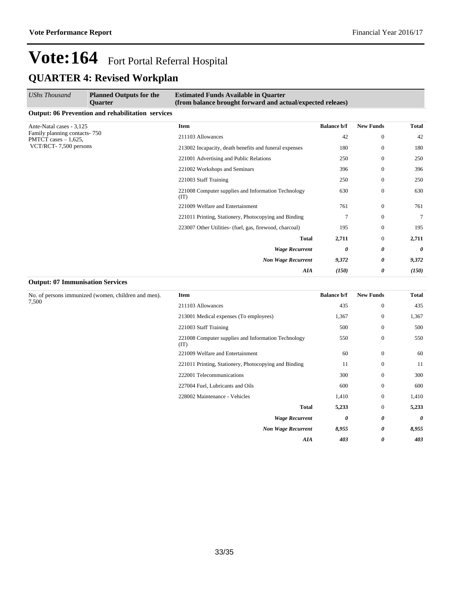| <b>UShs Thousand</b>                                   | <b>Planned Outputs for the</b><br><b>Ouarter</b>         | <b>Estimated Funds Available in Quarter</b><br>(from balance brought forward and actual/expected releaes) |                    |                  |                       |
|--------------------------------------------------------|----------------------------------------------------------|-----------------------------------------------------------------------------------------------------------|--------------------|------------------|-----------------------|
|                                                        | <b>Output: 06 Prevention and rehabilitation services</b> |                                                                                                           |                    |                  |                       |
| Ante-Natal cases - 3,125                               |                                                          | Item                                                                                                      | <b>Balance b/f</b> | <b>New Funds</b> | Total                 |
| Family planning contacts-750<br>PMTCT cases $-1,625$ , |                                                          | 211103 Allowances                                                                                         | 42                 | $\bf{0}$         | 42                    |
| VCT/RCT-7,500 persons                                  |                                                          | 213002 Incapacity, death benefits and funeral expenses                                                    | 180                | $\mathbf{0}$     | 180                   |
|                                                        |                                                          | 221001 Advertising and Public Relations                                                                   | 250                | $\mathbf{0}$     | 250                   |
|                                                        |                                                          | 221002 Workshops and Seminars                                                                             | 396                | $\Omega$         | 396                   |
|                                                        |                                                          | 221003 Staff Training                                                                                     | 250                | $\mathbf{0}$     | 250                   |
|                                                        |                                                          | 221008 Computer supplies and Information Technology<br>(TT)                                               | 630                | $\mathbf{0}$     | 630                   |
|                                                        |                                                          | 221009 Welfare and Entertainment                                                                          | 761                | $\mathbf{0}$     | 761                   |
|                                                        |                                                          | 221011 Printing, Stationery, Photocopying and Binding                                                     | 7                  | $\mathbf{0}$     | 7                     |
|                                                        |                                                          | 223007 Other Utilities- (fuel, gas, firewood, charcoal)                                                   | 195                | $\mathbf{0}$     | 195                   |
|                                                        |                                                          | <b>Total</b>                                                                                              | 2,711              | $\overline{0}$   | 2,711                 |
|                                                        |                                                          | <b>Wage Recurrent</b>                                                                                     | 0                  | 0                | $\boldsymbol{\theta}$ |
|                                                        |                                                          | <b>Non Wage Recurrent</b>                                                                                 | 9,372              | 0                | 9,372                 |
|                                                        |                                                          | AIA                                                                                                       | (150)              | 0                | (150)                 |

#### **Output: 07 Immunisation Services**

No. of persons immunized (women, children and men). 7,500

| <b>Item</b>                                                 | <b>Balance b/f</b> | <b>New Funds</b> | Total |
|-------------------------------------------------------------|--------------------|------------------|-------|
| 211103 Allowances                                           | 435                | $\mathbf{0}$     | 435   |
| 213001 Medical expenses (To employees)                      | 1,367              | $\mathbf{0}$     | 1,367 |
| 221003 Staff Training                                       | 500                | $\mathbf{0}$     | 500   |
| 221008 Computer supplies and Information Technology<br>(TT) | 550                | $\mathbf{0}$     | 550   |
| 221009 Welfare and Entertainment                            | 60                 | $\mathbf{0}$     | 60    |
| 221011 Printing, Stationery, Photocopying and Binding       | 11                 | $\mathbf{0}$     | 11    |
| 222001 Telecommunications                                   | 300                | $\Omega$         | 300   |
| 227004 Fuel, Lubricants and Oils                            | 600                | $\mathbf{0}$     | 600   |
| 228002 Maintenance - Vehicles                               | 1,410              | $\Omega$         | 1,410 |
| <b>Total</b>                                                | 5,233              | $\mathbf{0}$     | 5,233 |
| <b>Wage Recurrent</b>                                       | 0                  | 0                | 0     |
| <b>Non Wage Recurrent</b>                                   | 8,955              | 0                | 8,955 |
| AIA                                                         | 403                | 0                | 403   |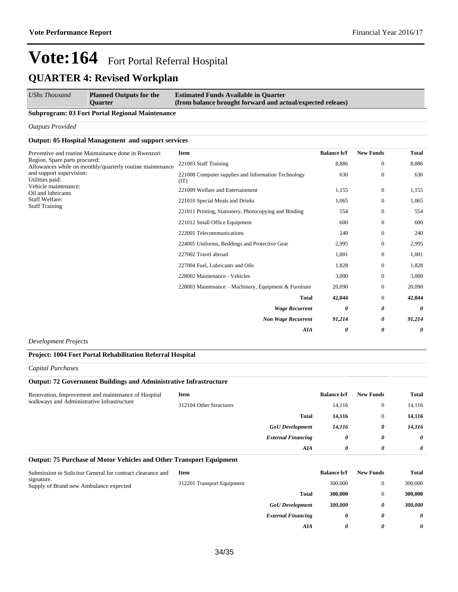| <b>UShs Thousand</b> | <b>Planned Outputs for the</b> | <b>Estimated Funds Available in Quarter</b>                |
|----------------------|--------------------------------|------------------------------------------------------------|
|                      | <b>Ouarter</b>                 | (from balance brought forward and actual/expected releaes) |

#### **Subprogram: 03 Fort Portal Regional Maintenance**

*Outputs Provided*

#### **Output: 05 Hospital Management and support services**

| Preventive and routine Maintainance done in Rwenzori<br>Region. Spare parts procured:<br>Allowances while on monthly/quarterly routine maintenance<br>and support supervision:<br>Utilities paid:<br>Vehicle maintenance:<br>Oil and lubricants<br>Staff Welfare:<br><b>Staff Training</b> | Item                                                        | <b>Balance b/f</b> | <b>New Funds</b>      | <b>Total</b> |
|--------------------------------------------------------------------------------------------------------------------------------------------------------------------------------------------------------------------------------------------------------------------------------------------|-------------------------------------------------------------|--------------------|-----------------------|--------------|
|                                                                                                                                                                                                                                                                                            | 221003 Staff Training                                       | 8,886              | $\mathbf{0}$          | 8,886        |
|                                                                                                                                                                                                                                                                                            | 221008 Computer supplies and Information Technology<br>(TT) | 630                | $\mathbf{0}$          | 630          |
|                                                                                                                                                                                                                                                                                            | 221009 Welfare and Entertainment                            | 1,155              | $\mathbf{0}$          | 1,155        |
|                                                                                                                                                                                                                                                                                            | 221010 Special Meals and Drinks                             | 1,065              | $\mathbf{0}$          | 1,065        |
|                                                                                                                                                                                                                                                                                            | 221011 Printing, Stationery, Photocopying and Binding       | 554                | $\mathbf{0}$          | 554          |
|                                                                                                                                                                                                                                                                                            | 221012 Small Office Equipment                               | 600                | $\mathbf{0}$          | 600          |
|                                                                                                                                                                                                                                                                                            | 222001 Telecommunications                                   | 240                | $\mathbf{0}$          | 240          |
|                                                                                                                                                                                                                                                                                            | 224005 Uniforms, Beddings and Protective Gear               | 2,995              | $\mathbf{0}$          | 2,995        |
|                                                                                                                                                                                                                                                                                            | 227002 Travel abroad                                        | 1,001              | $\mathbf{0}$          | 1,001        |
|                                                                                                                                                                                                                                                                                            | 227004 Fuel, Lubricants and Oils                            | 1,828              | $\mathbf{0}$          | 1,828        |
|                                                                                                                                                                                                                                                                                            | 228002 Maintenance - Vehicles                               | 3,000              | $\mathbf{0}$          | 3,000        |
|                                                                                                                                                                                                                                                                                            | 228003 Maintenance – Machinery, Equipment & Furniture       | 20,090             | $\mathbf{0}$          | 20,090       |
|                                                                                                                                                                                                                                                                                            | <b>Total</b>                                                | 42,044             | $\mathbf{0}$          | 42,044       |
|                                                                                                                                                                                                                                                                                            | <b>Wage Recurrent</b>                                       | 0                  | $\boldsymbol{\theta}$ | 0            |
|                                                                                                                                                                                                                                                                                            | <b>Non Wage Recurrent</b>                                   | 91,214             | 0                     | 91,214       |
|                                                                                                                                                                                                                                                                                            | AIA                                                         | 0                  | $\boldsymbol{\theta}$ | 0            |

*Development Projects*

#### **Project: 1004 Fort Portal Rehabilitation Referral Hospital**

*Capital Purchases*

#### **Output: 72 Government Buildings and Administrative Infrastructure**

| Renovation, Improvement and maintenance of Hospital<br>walkways and Administrative Infrastructure | Item                    |                           | <b>Balance b/f</b> | <b>New Funds</b> | <b>Total</b> |
|---------------------------------------------------------------------------------------------------|-------------------------|---------------------------|--------------------|------------------|--------------|
|                                                                                                   | 312104 Other Structures |                           | 14,116             |                  | 14,116       |
|                                                                                                   |                         | <b>Total</b>              | 14,116             |                  | 14,116       |
|                                                                                                   |                         | <b>GoU</b> Development    | 14.116             | 0                | 14,116       |
|                                                                                                   |                         | <b>External Financing</b> | 0                  | 0                | 0            |
|                                                                                                   |                         | AIA                       | 0                  | 0                | $\theta$     |

#### **Output: 75 Purchase of Motor Vehicles and Other Transport Equipment**

| Submission to Solicitor General for contract clearance and | Item                       |                           | <b>Balance b/f</b> | <b>New Funds</b> | <b>Total</b> |
|------------------------------------------------------------|----------------------------|---------------------------|--------------------|------------------|--------------|
| signature.<br>Supply of Brand new Ambulance expected       | 312201 Transport Equipment |                           | 300,000            |                  | 300,000      |
|                                                            |                            | Total                     | 300,000            |                  | 300,000      |
|                                                            |                            | <b>GoU</b> Development    | 300,000            | 0                | 300,000      |
|                                                            |                            | <b>External Financing</b> | 0                  | 0                | 0            |
|                                                            |                            | AIA                       | 0                  | 0                | 0            |